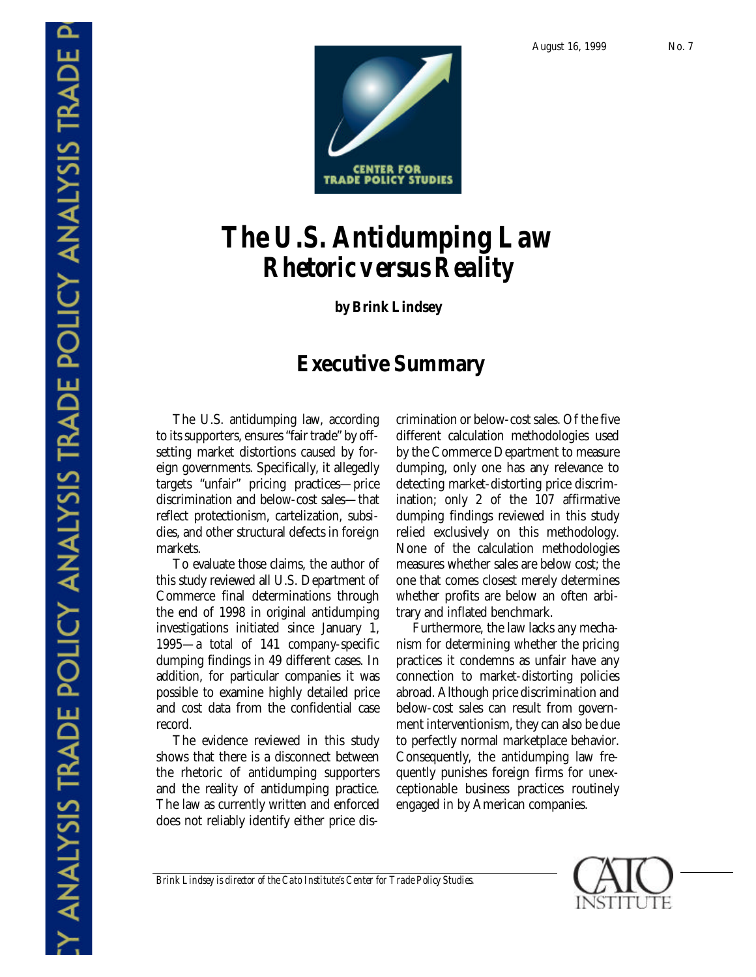

# *The U.S. Antidumping Law Rhetoric versus Reality*

**by Brink Lindsey**

## **Executive Summary**

The U.S. antidumping law, according to its supporters, ensures "fair trade" by offsetting market distortions caused by foreign governments. Specifically, it allegedly targets "unfair" pricing practices—price discrimination and below-cost sales—that reflect protectionism, cartelization, subsidies, and other structural defects in foreign markets.

To evaluate those claims, the author of this study reviewed all U.S. Department of Commerce final determinations through the end of 1998 in original antidumping investigations initiated since January 1, 1995—a total of 141 company-specific dumping findings in 49 different cases. In addition, for particular companies it was possible to examine highly detailed price and cost data from the confidential case record.

The evidence reviewed in this study shows that there is a disconnect between the rhetoric of antidumping supporters and the reality of antidumping practice. The law as currently written and enforced does not reliably identify either price discrimination or below-cost sales. Of the five different calculation methodologies used by the Commerce Department to measure dumping, only one has any relevance to detecting market-distorting price discrimination; only 2 of the 107 affirmative dumping findings reviewed in this study relied exclusively on this methodology. None of the calculation methodologies measures whether sales are below cost; the one that comes closest merely determines whether profits are below an often arbitrary and inflated benchmark.

Furthermore, the law lacks any mechanism for determining whether the pricing practices it condemns as unfair have any connection to market-distorting policies abroad. Although price discrimination and below-cost sales can result from government interventionism, they can also be due to perfectly normal marketplace behavior. Consequently, the antidumping law frequently punishes foreign firms for unexceptionable business practices routinely engaged in by American companies.

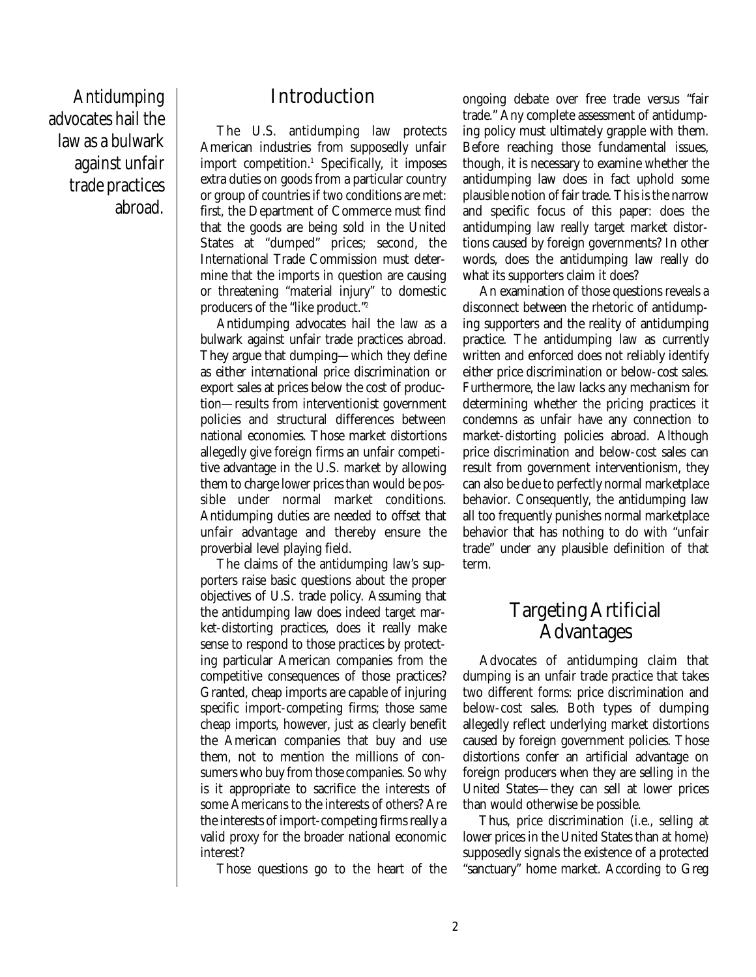**Antidumping advocates hail the law as a bulwark against unfair trade practices abroad.** 

## **Introduction**

The U.S. antidumping law protects American industries from supposedly unfair import competition. <sup>1</sup> Specifically, it imposes extra duties on goods from a particular country or group of countries if two conditions are met: first, the Department of Commerce must find that the goods are being sold in the United States at "dumped" prices; second, the International Trade Commission must determine that the imports in question are causing or threatening "material injury" to domestic producers of the "like product." 2

Antidumping advocates hail the law as a bulwark against unfair trade practices abroad. They argue that dumping—which they define as either international price discrimination or export sales at prices below the cost of production—results from interventionist government policies and structural differences between national economies. Those market distortions allegedly give foreign firms an unfair competitive advantage in the U.S. market by allowing them to charge lower prices than would be possible under normal market conditions. Antidumping duties are needed to offset that unfair advantage and thereby ensure the proverbial level playing field.

The claims of the antidumping law's supporters raise basic questions about the proper objectives of U.S. trade policy. Assuming that the antidumping law does indeed target market-distorting practices, does it really make sense to respond to those practices by protecting particular American companies from the competitive consequences of those practices? Granted, cheap imports are capable of injuring specific import-competing firms; those same cheap imports, however, just as clearly benefit the American companies that buy and use them, not to mention the millions of consumers who buy from those companies. So why is it appropriate to sacrifice the interests of some Americans to the interests of others? Are the interests of import-competing firms really a valid proxy for the broader national economic interest?

Those questions go to the heart of the

ongoing debate over free trade versus "fair trade." Any complete assessment of antidumping policy must ultimately grapple with them. Before reaching those fundamental issues, though, it is necessary to examine whether the antidumping law does in fact uphold some plausible notion of fair trade. This is the narrow and specific focus of this paper: does the antidumping law really target market distortions caused by foreign governments? In other words, does the antidumping law really do what its supporters claim it does?

An examination of those questions reveals a disconnect between the rhetoric of antidumping supporters and the reality of antidumping practice. The antidumping law as currently written and enforced does not reliably identify either price discrimination or below-cost sales. Furthermore, the law lacks any mechanism for determining whether the pricing practices it condemns as unfair have any connection to market-distorting policies abroad. Although price discrimination and below-cost sales can result from government interventionism, they can also be due to perfectly normal marketplace behavior. Consequently, the antidumping law all too frequently punishes normal marketplace behavior that has nothing to do with "unfair trade" under any plausible definition of that term.

## **Targeting Artificial Advantages**

Advocates of antidumping claim that dumping is an unfair trade practice that takes two different forms: price discrimination and below-cost sales. Both types of dumping allegedly reflect underlying market distortions caused by foreign government policies. Those distortions confer an artificial advantage on foreign producers when they are selling in the United States—they can sell at lower prices than would otherwise be possible.

Thus, price discrimination (i.e., selling at lower prices in the United States than at home) supposedly signals the existence of a protected "sanctuary" home market. According to Greg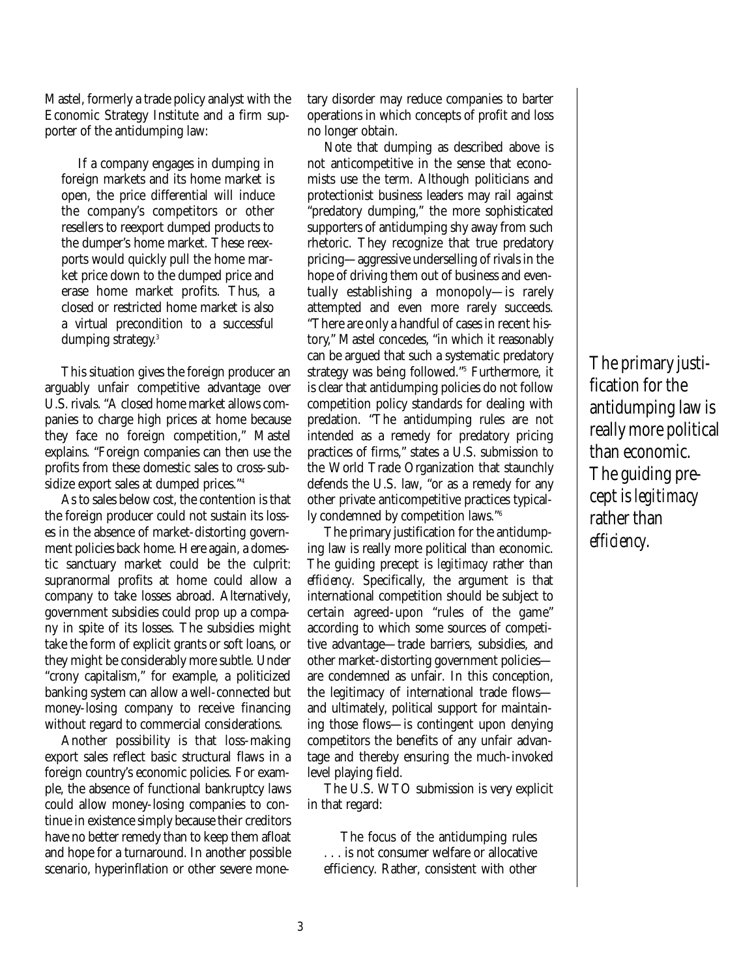Mastel, formerly a trade policy analyst with the Economic Strategy Institute and a firm supporter of the antidumping law:

If a company engages in dumping in foreign markets and its home market is open, the price differential will induce the company's competitors or other resellers to reexport dumped products to the dumper's home market. These reexports would quickly pull the home market price down to the dumped price and erase home market profits. Thus, a closed or restricted home market is also a virtual precondition to a successful dumping strategy. 3

This situation gives the foreign producer an arguably unfair competitive advantage over U.S. rivals. "A closed home market allows companies to charge high prices at home because they face no foreign competition," Mastel explains. "Foreign companies can then use the profits from these domestic sales to cross-subsidize export sales at dumped prices." 4

As to sales below cost, the contention is that the foreign producer could not sustain its losses in the absence of market-distorting government policies back home. Here again, a domestic sanctuary market could be the culprit: supranormal profits at home could allow a company to take losses abroad. Alternatively, government subsidies could prop up a company in spite of its losses. The subsidies might take the form of explicit grants or soft loans, or they might be considerably more subtle. Under "crony capitalism," for example, a politicized banking system can allow a well-connected but money-losing company to receive financing without regard to commercial considerations.

Another possibility is that loss-making export sales reflect basic structural flaws in a foreign country's economic policies. For example, the absence of functional bankruptcy laws could allow money-losing companies to continue in existence simply because their creditors have no better remedy than to keep them afloat and hope for a turnaround. In another possible scenario, hyperinflation or other severe monetary disorder may reduce companies to barter operations in which concepts of profit and loss no longer obtain.

Note that dumping as described above is not anticompetitive in the sense that economists use the term. Although politicians and protectionist business leaders may rail against "predatory dumping," the more sophisticated supporters of antidumping shy away from such rhetoric. They recognize that true predatory pricing—aggressive underselling of rivals in the hope of driving them out of business and eventually establishing a monopoly—is rarely attempted and even more rarely succeeds. "There are only a handful of cases in recent history," Mastel concedes, "in which it reasonably can be argued that such a systematic predatory strategy was being followed." <sup>5</sup> Furthermore, it is clear that antidumping policies do not follow competition policy standards for dealing with predation. "The antidumping rules are not intended as a remedy for predatory pricing practices of firms," states a U.S. submission to the World Trade Organization that staunchly defends the U.S. law, "or as a remedy for any other private anticompetitive practices typically condemned by competition laws." 6

The primary justification for the antidumping law is really more political than economic. The guiding precept is *legitimacy* rather than *efficiency*. Specifically, the argument is that international competition should be subject to certain agreed-upon "rules of the game" according to which some sources of competitive advantage—trade barriers, subsidies, and other market-distorting government policies are condemned as unfair. In this conception, the legitimacy of international trade flows and ultimately, political support for maintaining those flows—is contingent upon denying competitors the benefits of any unfair advantage and thereby ensuring the much-invoked level playing field.

The U.S. WTO submission is very explicit in that regard:

The focus of the antidumping rules . . . is not consumer welfare or allocative efficiency. Rather, consistent with other

**The primary justification for the antidumping law is really more political than economic. The guiding precept is** *legitimacy* **rather than** *efficiency***.**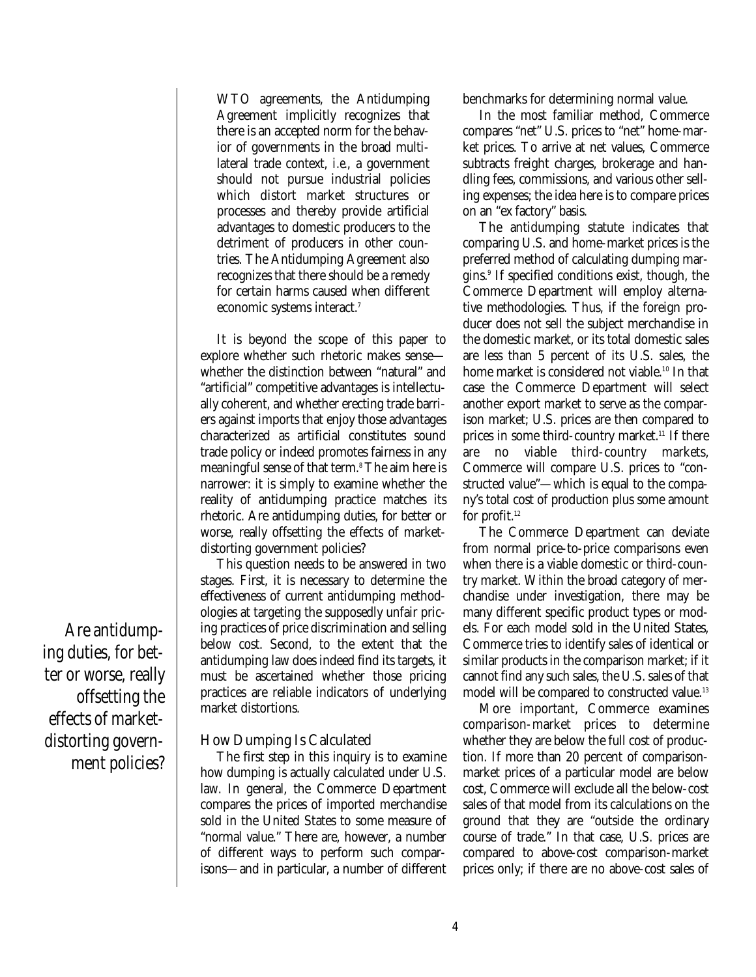WTO agreements, the Antidumping Agreement implicitly recognizes that there is an accepted norm for the behavior of governments in the broad multilateral trade context, *i.e.*, a government should not pursue industrial policies which distort market structures or processes and thereby provide artificial advantages to domestic producers to the detriment of producers in other countries. The Antidumping Agreement also recognizes that there should be a remedy for certain harms caused when different economic systems interact. 7

It is beyond the scope of this paper to explore whether such rhetoric makes sense whether the distinction between "natural" and "artificial" competitive advantages is intellectually coherent, and whether erecting trade barriers against imports that enjoy those advantages characterized as artificial constitutes sound trade policy or indeed promotes fairness in any meaningful sense of that term. <sup>8</sup> The aim here is narrower: it is simply to examine whether the reality of antidumping practice matches its rhetoric. Are antidumping duties, for better or worse, really offsetting the effects of marketdistorting government policies?

This question needs to be answered in two stages. First, it is necessary to determine the effectiveness of current antidumping methodologies at targeting the supposedly unfair pricing practices of price discrimination and selling below cost. Second, to the extent that the antidumping law does indeed find its targets, it must be ascertained whether those pricing practices are reliable indicators of underlying market distortions.

#### **How Dumping Is Calculated**

The first step in this inquiry is to examine how dumping is actually calculated under U.S. law. In general, the Commerce Department compares the prices of imported merchandise sold in the United States to some measure of "normal value." There are, however, a number of different ways to perform such comparisons—and in particular, a number of different benchmarks for determining normal value.

In the most familiar method, Commerce compares "net" U.S. prices to "net" home-market prices. To arrive at net values, Commerce subtracts freight charges, brokerage and handling fees, commissions, and various other selling expenses; the idea here is to compare prices on an "ex factory" basis.

The antidumping statute indicates that comparing U.S. and home-market prices is the preferred method of calculating dumping margins. 9 If specified conditions exist, though, the Commerce Department will employ alternative methodologies. Thus, if the foreign producer does not sell the subject merchandise in the domestic market, or its total domestic sales are less than 5 percent of its U.S. sales, the home market is considered not viable. 10 In that case the Commerce Department will select another export market to serve as the comparison market; U.S. prices are then compared to prices in some third-country market. 11 If there are no viable third-country markets, Commerce will compare U.S. prices to "constructed value"—which is equal to the company's total cost of production plus some amount for profit. 12

The Commerce Department can deviate from normal price-to-price comparisons even when there is a viable domestic or third-country market. Within the broad category of merchandise under investigation, there may be many different specific product types or models. For each model sold in the United States, Commerce tries to identify sales of identical or similar products in the comparison market; if it cannot find any such sales, the U.S. sales of that model will be compared to constructed value. 13

More important, Commerce examines comparison-market prices to determine whether they are below the full cost of production. If more than 20 percent of comparisonmarket prices of a particular model are below cost, Commerce will exclude all the below-cost sales of that model from its calculations on the ground that they are "outside the ordinary course of trade." In that case, U.S. prices are compared to above-cost comparison-market prices only; if there are no above-cost sales of

**Are antidumping duties, for better or worse, really offsetting the effects of marketdistorting government policies?**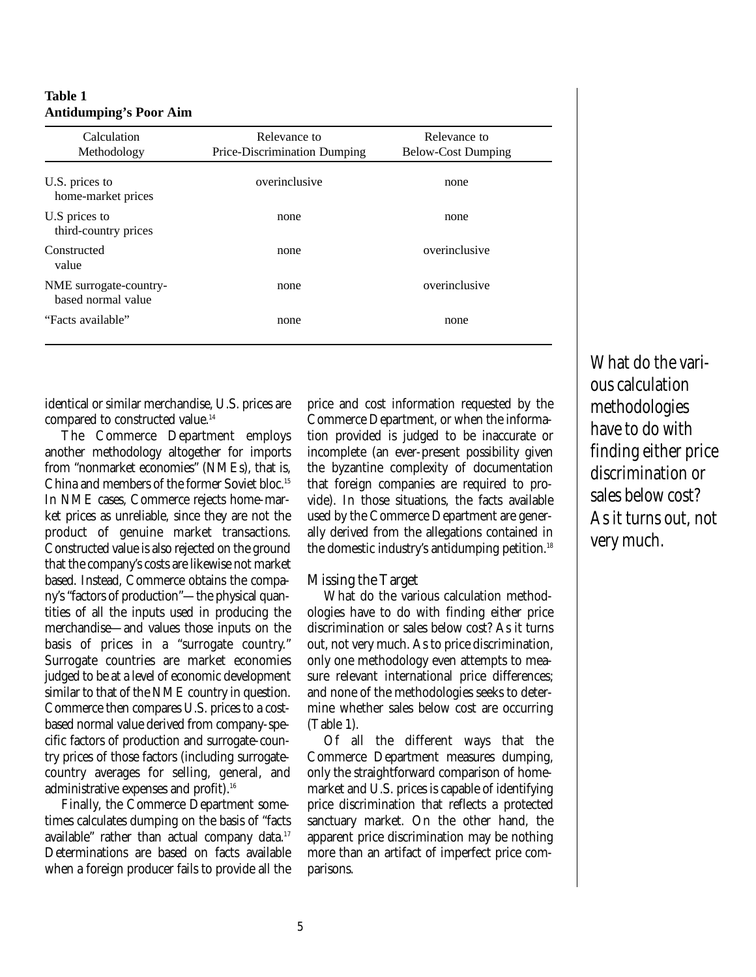| Antidumping's Poor Aim                       |                                              |                                           |
|----------------------------------------------|----------------------------------------------|-------------------------------------------|
| Calculation<br>Methodology                   | Relevance to<br>Price-Discrimination Dumping | Relevance to<br><b>Below-Cost Dumping</b> |
| U.S. prices to<br>home-market prices         | overinclusive                                | none                                      |
| U.S prices to<br>third-country prices        | none                                         | none                                      |
| Constructed<br>value                         | none                                         | overinclusive                             |
| NME surrogate-country-<br>based normal value | none                                         | overinclusive                             |
| "Facts available"                            | none                                         | none                                      |
|                                              |                                              |                                           |

**Table 1 Antidumping's Poor Aim**

identical or similar merchandise, U.S. prices are compared to constructed value. 14

The Commerce Department employs another methodology altogether for imports from "nonmarket economies" (NMEs), that is, China and members of the former Soviet bloc. 15 In NME cases, Commerce rejects home-market prices as unreliable, since they are not the product of genuine market transactions. Constructed value is also rejected on the ground that the company's costs are likewise not market based. Instead, Commerce obtains the company's "factors of production"—the physical quantities of all the inputs used in producing the merchandise—and values those inputs on the basis of prices in a "surrogate country." Surrogate countries are market economies judged to be at a level of economic development similar to that of the NME country in question. Commerce then compares U.S. prices to a costbased normal value derived from company-specific factors of production and surrogate-country prices of those factors (including surrogatecountry averages for selling, general, and administrative expenses and profit). 16

Finally, the Commerce Department sometimes calculates dumping on the basis of "facts available" rather than actual company data. 17 Determinations are based on facts available when a foreign producer fails to provide all the price and cost information requested by the Commerce Department, or when the information provided is judged to be inaccurate or incomplete (an ever-present possibility given the byzantine complexity of documentation that foreign companies are required to provide). In those situations, the facts available used by the Commerce Department are generally derived from the allegations contained in the domestic industry's antidumping petition. 18

#### **Missing the Target**

What do the various calculation methodologies have to do with finding either price discrimination or sales below cost? As it turns out, not very much. As to price discrimination, only one methodology even attempts to measure relevant international price differences; and none of the methodologies seeks to determine whether sales below cost are occurring (Table 1).

Of all the different ways that the Commerce Department measures dumping, only the straightforward comparison of homemarket and U.S. prices is capable of identifying price discrimination that reflects a protected sanctuary market. On the other hand, the apparent price discrimination may be nothing more than an artifact of imperfect price comparisons.

**What do the various calculation methodologies have to do with finding either price discrimination or sales below cost? As it turns out, not very much.**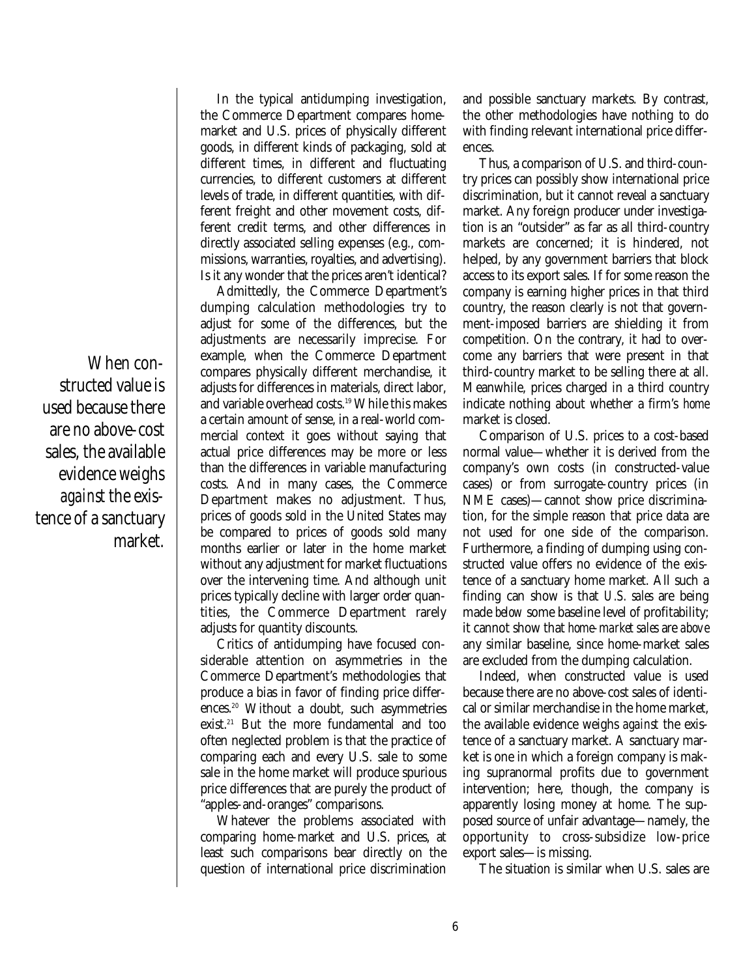**When constructed value is used because there are no above-cost sales, the available evidence weighs** *against* **the existence of a sanctuary market.**

In the typical antidumping investigation, the Commerce Department compares homemarket and U.S. prices of physically different goods, in different kinds of packaging, sold at different times, in different and fluctuating currencies, to different customers at different levels of trade, in different quantities, with different freight and other movement costs, different credit terms, and other differences in directly associated selling expenses (e.g., commissions, warranties, royalties, and advertising). Is it any wonder that the prices aren't identical?

Admittedly, the Commerce Department's dumping calculation methodologies try to adjust for some of the differences, but the adjustments are necessarily imprecise. For example, when the Commerce Department compares physically different merchandise, it adjusts for differences in materials, direct labor, and variable overhead costs. <sup>19</sup> While this makes a certain amount of sense, in a real-world commercial context it goes without saying that actual price differences may be more or less than the differences in variable manufacturing costs. And in many cases, the Commerce Department makes no adjustment. Thus, prices of goods sold in the United States may be compared to prices of goods sold many months earlier or later in the home market without any adjustment for market fluctuations over the intervening time. And although unit prices typically decline with larger order quantities, the Commerce Department rarely adjusts for quantity discounts.

Critics of antidumping have focused considerable attention on asymmetries in the Commerce Department's methodologies that produce a bias in favor of finding price differences. <sup>20</sup> Without a doubt, such asymmetries exist. <sup>21</sup> But the more fundamental and too often neglected problem is that the practice of comparing each and every U.S. sale to some sale in the home market will produce spurious price differences that are purely the product of "apples-and-oranges" comparisons.

Whatever the problems associated with comparing home-market and U.S. prices, at least such comparisons bear directly on the question of international price discrimination

and possible sanctuary markets. By contrast, the other methodologies have nothing to do with finding relevant international price differences.

Thus, a comparison of U.S. and third-country prices can possibly show international price discrimination, but it cannot reveal a sanctuary market. Any foreign producer under investigation is an "outsider" as far as all third-country markets are concerned; it is hindered, not helped, by any government barriers that block access to its export sales. If for some reason the company is earning higher prices in that third country, the reason clearly is not that government-imposed barriers are shielding it from competition. On the contrary, it had to overcome any barriers that were present in that third-country market to be selling there at all. Meanwhile, prices charged in a third country indicate nothing about whether a firm's *home* market is closed.

Comparison of U.S. prices to a cost-based normal value—whether it is derived from the company's own costs (in constructed-value cases) or from surrogate-country prices (in NME cases)—cannot show price discrimination, for the simple reason that price data are not used for one side of the comparison. Furthermore, a finding of dumping using constructed value offers no evidence of the existence of a sanctuary home market. All such a finding can show is that *U.S. sales* are being made *below* some baseline level of profitability; it cannot show that *home-market sales* are *above* any similar baseline, since home-market sales are excluded from the dumping calculation.

Indeed, when constructed value is used because there are no above-cost sales of identical or similar merchandise in the home market, the available evidence weighs *against* the existence of a sanctuary market. A sanctuary market is one in which a foreign company is making supranormal profits due to government intervention; here, though, the company is apparently losing money at home. The supposed source of unfair advantage—namely, the opportunity to cross-subsidize low-price export sales—is missing.

The situation is similar when U.S. sales are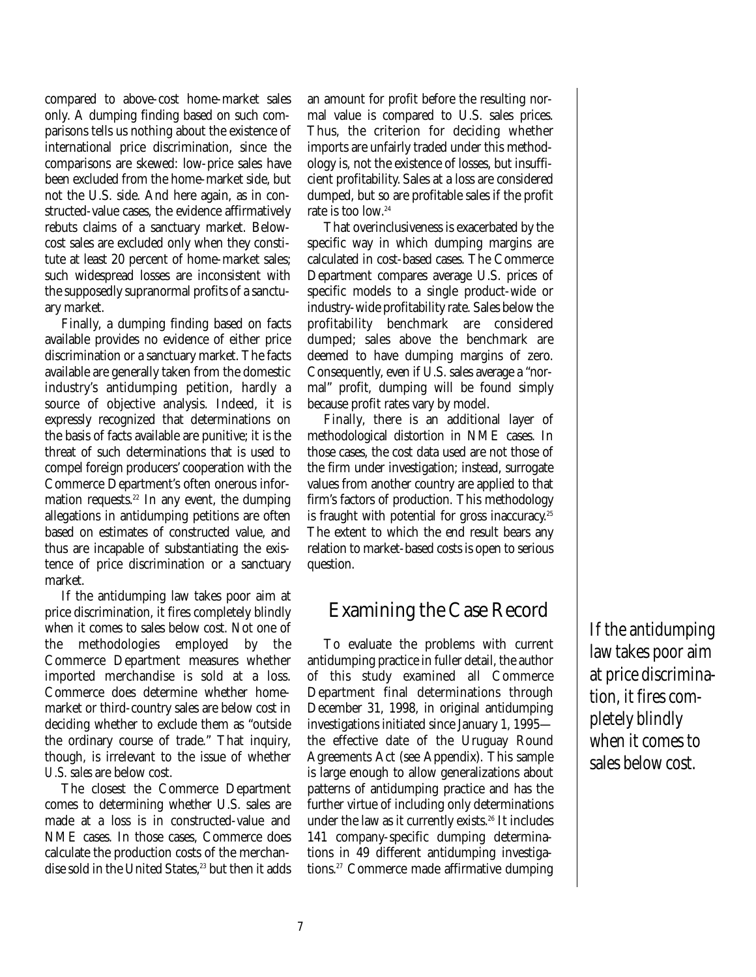compared to above-cost home-market sales only. A dumping finding based on such comparisons tells us nothing about the existence of international price discrimination, since the comparisons are skewed: low-price sales have been excluded from the home-market side, but not the U.S. side. And here again, as in constructed-value cases, the evidence affirmatively rebuts claims of a sanctuary market. Belowcost sales are excluded only when they constitute at least 20 percent of home-market sales; such widespread losses are inconsistent with the supposedly supranormal profits of a sanctuary market.

Finally, a dumping finding based on facts available provides no evidence of either price discrimination or a sanctuary market. The facts available are generally taken from the domestic industry's antidumping petition, hardly a source of objective analysis. Indeed, it is expressly recognized that determinations on the basis of facts available are punitive; it is the threat of such determinations that is used to compel foreign producers' cooperation with the Commerce Department's often onerous information requests. 22 In any event, the dumping allegations in antidumping petitions are often based on estimates of constructed value, and thus are incapable of substantiating the existence of price discrimination or a sanctuary market.

If the antidumping law takes poor aim at price discrimination, it fires completely blindly when it comes to sales below cost. Not one of the methodologies employed by the Commerce Department measures whether imported merchandise is sold at a loss. Commerce does determine whether homemarket or third-country sales are below cost in deciding whether to exclude them as "outside the ordinary course of trade." That inquiry, though, is irrelevant to the issue of whether *U.S. sales* are below cost.

The closest the Commerce Department comes to determining whether U.S. sales are made at a loss is in constructed-value and NME cases. In those cases, Commerce does calculate the production costs of the merchandise sold in the United States, <sup>23</sup> but then it adds

an amount for profit before the resulting normal value is compared to U.S. sales prices. Thus, the criterion for deciding whether imports are unfairly traded under this methodology is, not the existence of losses, but insufficient profitability. Sales at a loss are considered dumped, but so are profitable sales if the profit rate is too low. 24

That overinclusiveness is exacerbated by the specific way in which dumping margins are calculated in cost-based cases. The Commerce Department compares average U.S. prices of specific models to a single product-wide or industry-wide profitability rate. Sales below the profitability benchmark are considered dumped; sales above the benchmark are deemed to have dumping margins of zero. Consequently, even if U.S. sales average a "normal" profit, dumping will be found simply because profit rates vary by model.

Finally, there is an additional layer of methodological distortion in NME cases. In those cases, the cost data used are not those of the firm under investigation; instead, surrogate values from another country are applied to that firm's factors of production. This methodology is fraught with potential for gross inaccuracy. 25 The extent to which the end result bears any relation to market-based costs is open to serious question.

## **Examining the Case Record**

To evaluate the problems with current antidumping practice in fuller detail, the author of this study examined all Commerce Department final determinations through December 31, 1998, in original antidumping investigations initiated since January 1, 1995 the effective date of the Uruguay Round Agreements Act (see Appendix). This sample is large enough to allow generalizations about patterns of antidumping practice and has the further virtue of including only determinations under the law as it currently exists. 26 It includes 141 company-specific dumping determinations in 49 different antidumping investigations. <sup>27</sup> Commerce made affirmative dumping

**If the antidumping law takes poor aim at price discrimination, it fires completely blindly when it comes to sales below cost.**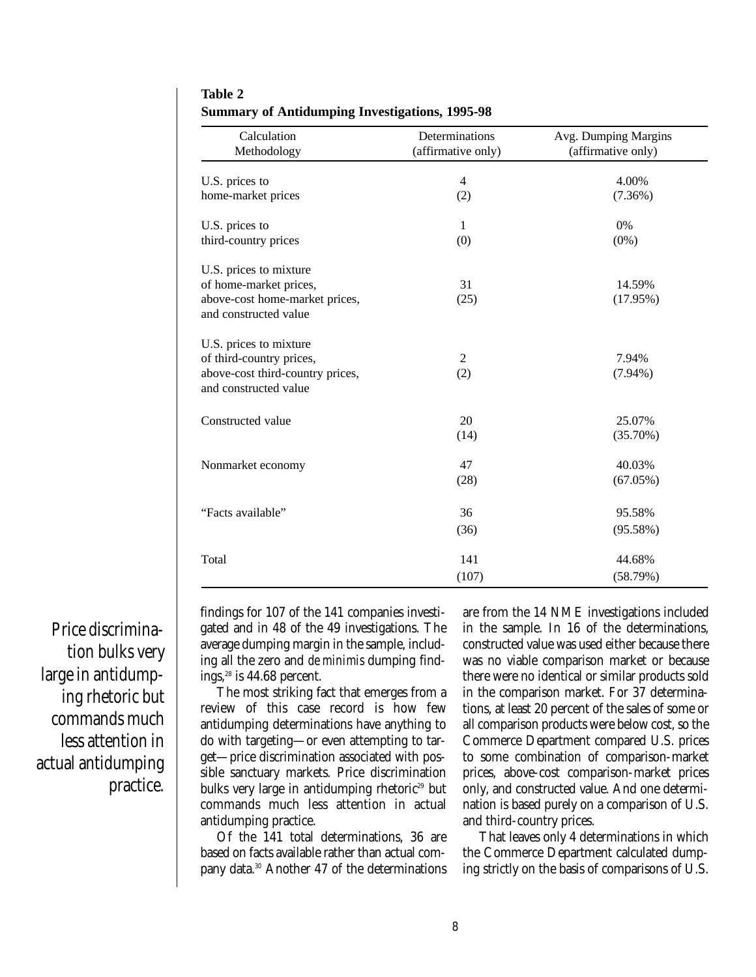| Calculation<br>Methodology                                | Determinations<br>(affirmative only) | Avg. Dumping Margins<br>(affirmative only) |
|-----------------------------------------------------------|--------------------------------------|--------------------------------------------|
| U.S. prices to                                            | $\overline{4}$                       | 4.00%                                      |
| home-market prices                                        | (2)                                  | (7.36%)                                    |
| U.S. prices to                                            | $\mathbf{1}$                         | 0%                                         |
| third-country prices                                      | (0)                                  | $(0\%)$                                    |
| U.S. prices to mixture                                    |                                      |                                            |
| of home-market prices,                                    | 31                                   | 14.59%                                     |
| above-cost home-market prices,<br>and constructed value   | (25)                                 | (17.95%)                                   |
| U.S. prices to mixture                                    |                                      |                                            |
| of third-country prices,                                  | 2                                    | 7.94%                                      |
| above-cost third-country prices,<br>and constructed value | (2)                                  | $(7.94\%)$                                 |
| Constructed value                                         | 20                                   | 25.07%                                     |
|                                                           | (14)                                 | (35.70%)                                   |
| Nonmarket economy                                         | 47                                   | 40.03%                                     |
|                                                           | (28)                                 | $(67.05\%)$                                |
| "Facts available"                                         | 36                                   | 95.58%                                     |
|                                                           | (36)                                 | (95.58%)                                   |
| Total                                                     | 141                                  | 44.68%                                     |
|                                                           | (107)                                | (58.79%)                                   |

**Table 2 Summary of Antidumping Investigations, 1995-98**

**Price discrimination bulks very large in antidumping rhetoric but commands much less attention in actual antidumping practice.**

findings for 107 of the 141 companies investigated and in 48 of the 49 investigations. The average dumping margin in the sample, including all the zero and *de minimis* dumping findings, 28 is 44.68 percent.

The most striking fact that emerges from a review of this case record is how few antidumping determinations have anything to do with targeting—or even attempting to target—price discrimination associated with possible sanctuary markets. Price discrimination bulks very large in antidumping rhetoric <sup>29</sup> but commands much less attention in actual antidumping practice.

Of the 141 total determinations, 36 are based on facts available rather than actual company data. <sup>30</sup> Another 47 of the determinations

are from the 14 NME investigations included in the sample. In 16 of the determinations, constructed value was used either because there was no viable comparison market or because there were no identical or similar products sold in the comparison market. For 37 determinations, at least 20 percent of the sales of some or all comparison products were below cost, so the Commerce Department compared U.S. prices to some combination of comparison-market prices, above-cost comparison-market prices only, and constructed value. And one determination is based purely on a comparison of U.S. and third-country prices.

That leaves only 4 determinations in which the Commerce Department calculated dumping strictly on the basis of comparisons of U.S.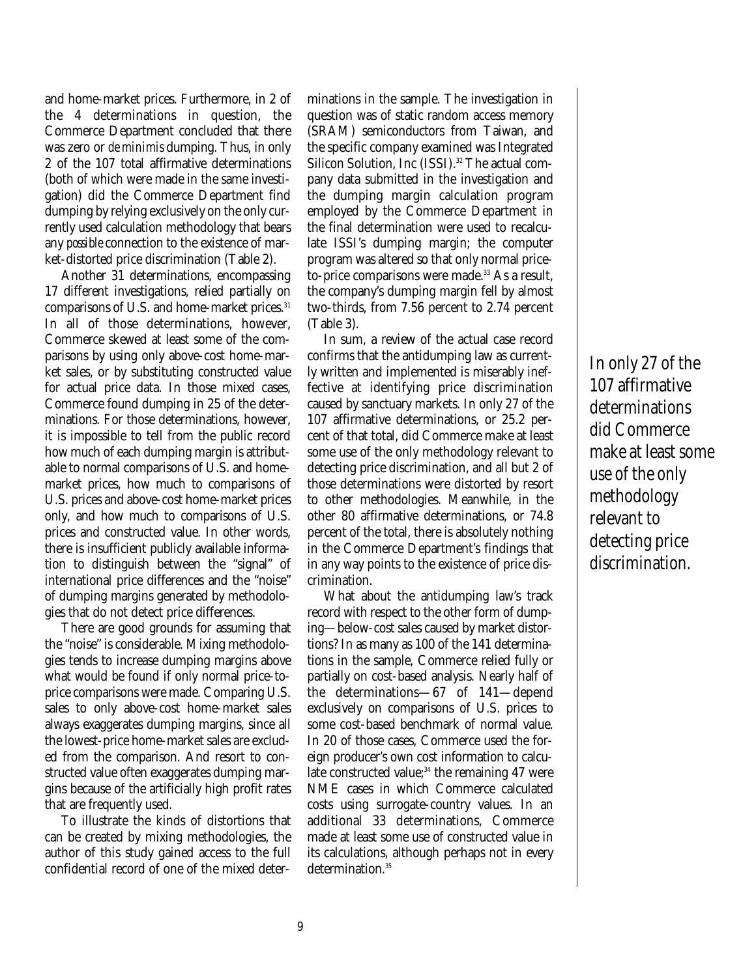and home-market prices. Furthermore, in 2 of the 4 determinations in question, the Commerce Department concluded that there was zero or *de minimis* dumping. Thus, in only 2 of the 107 total affirmative determinations (both of which were made in the same investigation) did the Commerce Department find dumping by relying exclusively on the only currently used calculation methodology that bears any *possible* connection to the existence of market-distorted price discrimination (Table 2).

Another 31 determinations, encompassing 17 different investigations, relied partially on comparisons of U.S. and home-market prices. 31 In all of those determinations, however, Commerce skewed at least some of the comparisons by using only above-cost home-market sales, or by substituting constructed value for actual price data. In those mixed cases, Commerce found dumping in 25 of the determinations. For those determinations, however, it is impossible to tell from the public record how much of each dumping margin is attributable to normal comparisons of U.S. and homemarket prices, how much to comparisons of U.S. prices and above-cost home-market prices only, and how much to comparisons of U.S. prices and constructed value. In other words, there is insufficient publicly available information to distinguish between the "signal" of international price differences and the "noise" of dumping margins generated by methodologies that do not detect price differences.

There are good grounds for assuming that the "noise" is considerable. Mixing methodologies tends to increase dumping margins above what would be found if only normal price-toprice comparisons were made. Comparing U.S. sales to only above-cost home-market sales always exaggerates dumping margins, since all the lowest-price home-market sales are excluded from the comparison. And resort to constructed value often exaggerates dumping margins because of the artificially high profit rates that are frequently used.

To illustrate the kinds of distortions that can be created by mixing methodologies, the author of this study gained access to the full confidential record of one of the mixed determinations in the sample. The investigation in question was of static random access memory (SRAM) semiconductors from Taiwan, and the specific company examined was Integrated Silicon Solution, Inc (ISSI). <sup>32</sup> The actual company data submitted in the investigation and the dumping margin calculation program employed by the Commerce Department in the final determination were used to recalculate ISSI's dumping margin; the computer program was altered so that only normal priceto-price comparisons were made. <sup>33</sup> As a result, the company's dumping margin fell by almost two-thirds, from 7.56 percent to 2.74 percent (Table 3).

In sum, a review of the actual case record confirms that the antidumping law as currently written and implemented is miserably ineffective at identifying price discrimination caused by sanctuary markets. In only 27 of the 107 affirmative determinations, or 25.2 percent of that total, did Commerce make at least some use of the only methodology relevant to detecting price discrimination, and all but 2 of those determinations were distorted by resort to other methodologies. Meanwhile, in the other 80 affirmative determinations, or 74.8 percent of the total, there is absolutely nothing in the Commerce Department's findings that in any way points to the existence of price discrimination.

What about the antidumping law's track record with respect to the other form of dumping—below-cost sales caused by market distortions? In as many as 100 of the 141 determinations in the sample, Commerce relied fully or partially on cost-based analysis. Nearly half of the determinations—67 of 141—depend exclusively on comparisons of U.S. prices to some cost-based benchmark of normal value. In 20 of those cases, Commerce used the foreign producer's own cost information to calculate constructed value;<sup>34</sup> the remaining 47 were NME cases in which Commerce calculated costs using surrogate-country values. In an additional 33 determinations, Commerce made at least some use of constructed value in its calculations, although perhaps not in every determination. 35

**In only 27 of the 107 affirmative determinations did Commerce make at least some use of the only methodology relevant to detecting price discrimination.**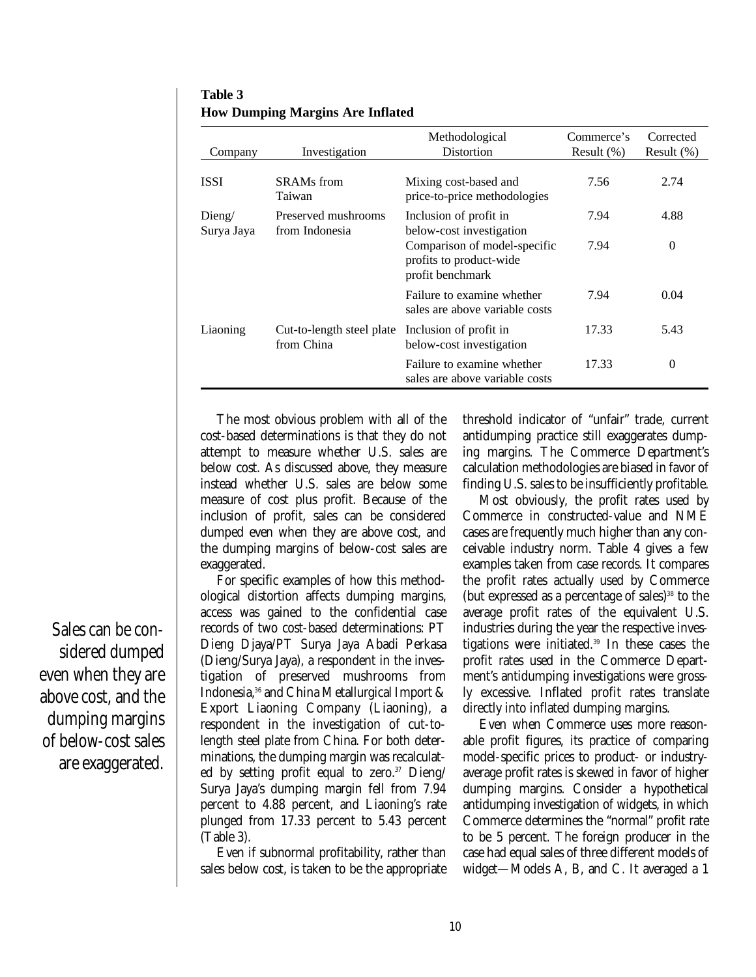| Company              | Investigation                           | Methodological<br><b>Distortion</b>                                                                                               | Commerce's<br>Result $(\%)$ | Corrected<br>Result $(\%)$ |
|----------------------|-----------------------------------------|-----------------------------------------------------------------------------------------------------------------------------------|-----------------------------|----------------------------|
| <b>ISSI</b>          | <b>SRAMs</b> from<br>Taiwan             | Mixing cost-based and<br>price-to-price methodologies                                                                             | 7.56                        | 2.74                       |
| Dieng/<br>Surya Jaya | Preserved mushrooms<br>from Indonesia   | Inclusion of profit in<br>below-cost investigation<br>Comparison of model-specific<br>profits to product-wide<br>profit benchmark | 7.94<br>7.94                | 4.88<br>$\Omega$           |
|                      |                                         | Failure to examine whether<br>sales are above variable costs                                                                      | 7.94                        | 0.04                       |
| Liaoning             | Cut-to-length steel plate<br>from China | Inclusion of profit in<br>below-cost investigation                                                                                | 17.33                       | 5.43                       |
|                      |                                         | Failure to examine whether<br>sales are above variable costs                                                                      | 17.33                       | $\Omega$                   |

**Table 3 How Dumping Margins Are Inflated**

The most obvious problem with all of the cost-based determinations is that they do not attempt to measure whether U.S. sales are below cost. As discussed above, they measure instead whether U.S. sales are below some measure of cost plus profit. Because of the inclusion of profit, sales can be considered dumped even when they are above cost, and the dumping margins of below-cost sales are exaggerated.

For specific examples of how this methodological distortion affects dumping margins, access was gained to the confidential case records of two cost-based determinations: PT Dieng Djaya/PT Surya Jaya Abadi Perkasa (Dieng/Surya Jaya), a respondent in the investigation of preserved mushrooms from Indonesia, 36 and China Metallurgical Import & Export Liaoning Company (Liaoning), a respondent in the investigation of cut-tolength steel plate from China. For both determinations, the dumping margin was recalculated by setting profit equal to zero. <sup>37</sup> Dieng/ Surya Jaya's dumping margin fell from 7.94 percent to 4.88 percent, and Liaoning's rate plunged from 17.33 percent to 5.43 percent (Table 3).

Even if subnormal profitability, rather than sales below cost, is taken to be the appropriate threshold indicator of "unfair" trade, current antidumping practice still exaggerates dumping margins. The Commerce Department's calculation methodologies are biased in favor of finding U.S. sales to be insufficiently profitable.

Most obviously, the profit rates used by Commerce in constructed-value and NME cases are frequently much higher than any conceivable industry norm. Table 4 gives a few examples taken from case records. It compares the profit rates actually used by Commerce (but expressed as a percentage of sales) 38 to the average profit rates of the equivalent U.S. industries during the year the respective investigations were initiated. 39 In these cases the profit rates used in the Commerce Department's antidumping investigations were grossly excessive. Inflated profit rates translate directly into inflated dumping margins.

Even when Commerce uses more reasonable profit figures, its practice of comparing model-specific prices to product- or industryaverage profit rates is skewed in favor of higher dumping margins. Consider a hypothetical antidumping investigation of widgets, in which Commerce determines the "normal" profit rate to be 5 percent. The foreign producer in the case had equal sales of three different models of widget—Models A, B, and C. It averaged a 1

**Sales can be considered dumped even when they are above cost, and the dumping margins of below-cost sales are exaggerated.**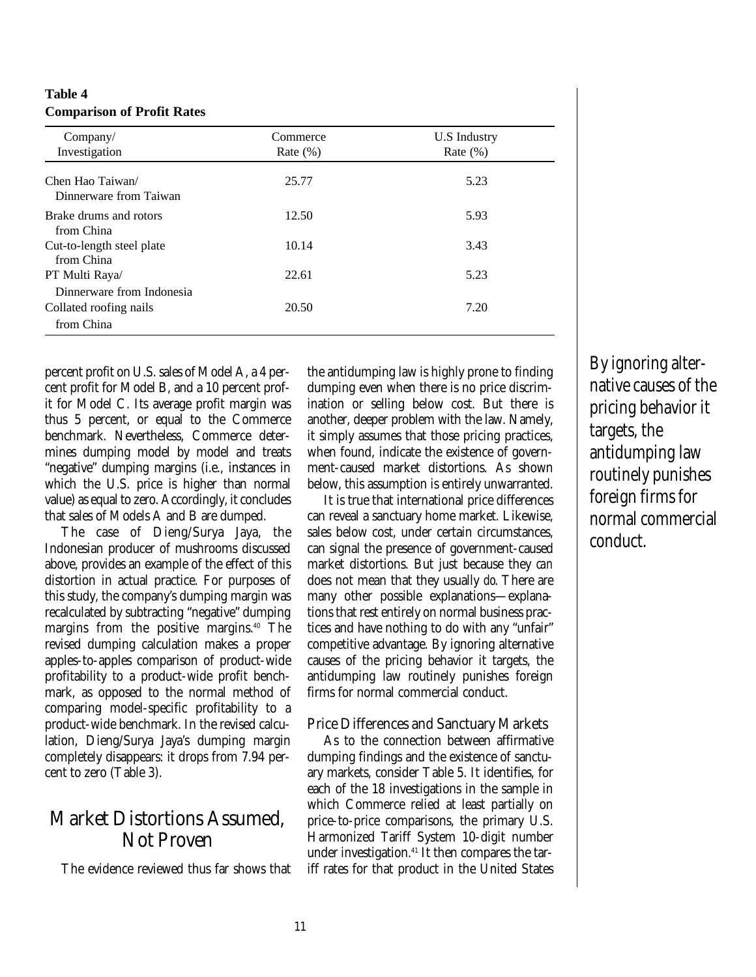| <b>Comparison of Profit Rates</b>          |                         |                             |  |  |  |  |  |  |  |
|--------------------------------------------|-------------------------|-----------------------------|--|--|--|--|--|--|--|
| Company/<br>Investigation                  | Commerce<br>Rate $(\%)$ | U.S Industry<br>Rate $(\%)$ |  |  |  |  |  |  |  |
| Chen Hao Taiwan/<br>Dinnerware from Taiwan | 25.77                   | 5.23                        |  |  |  |  |  |  |  |
| Brake drums and rotors<br>from China       | 12.50                   | 5.93                        |  |  |  |  |  |  |  |
| Cut-to-length steel plate<br>from China    | 10.14                   | 3.43                        |  |  |  |  |  |  |  |
| PT Multi Raya<br>Dinnerware from Indonesia | 22.61                   | 5.23                        |  |  |  |  |  |  |  |
| Collated roofing nails<br>from China       | 20.50                   | 7.20                        |  |  |  |  |  |  |  |

# **Table 4**

percent profit on U.S. sales of Model A, a 4 percent profit for Model B, and a 10 percent profit for Model C. Its average profit margin was thus 5 percent, or equal to the Commerce benchmark. Nevertheless, Commerce determines dumping model by model and treats "negative" dumping margins (i.e., instances in which the U.S. price is higher than normal value) as equal to zero. Accordingly, it concludes that sales of Models A and B are dumped.

The case of Dieng/Surya Jaya, the Indonesian producer of mushrooms discussed above, provides an example of the effect of this distortion in actual practice. For purposes of this study, the company's dumping margin was recalculated by subtracting "negative" dumping margins from the positive margins. <sup>40</sup> The revised dumping calculation makes a proper apples-to-apples comparison of product-wide profitability to a product-wide profit benchmark, as opposed to the normal method of comparing model-specific profitability to a product-wide benchmark. In the revised calculation, Dieng/Surya Jaya's dumping margin completely disappears: it drops from 7.94 percent to zero (Table 3).

## **Market Distortions Assumed, Not Proven**

The evidence reviewed thus far shows that

the antidumping law is highly prone to finding dumping even when there is no price discrimination or selling below cost. But there is another, deeper problem with the law. Namely, it simply assumes that those pricing practices, when found, indicate the existence of government-caused market distortions. As shown below, this assumption is entirely unwarranted.

It is true that international price differences can reveal a sanctuary home market. Likewise, sales below cost, under certain circumstances, can signal the presence of government-caused market distortions. But just because they *can* does not mean that they usually *do*. There are many other possible explanations—explanations that rest entirely on normal business practices and have nothing to do with any "unfair" competitive advantage. By ignoring alternative causes of the pricing behavior it targets, the antidumping law routinely punishes foreign firms for normal commercial conduct.

#### **Price Differences and Sanctuary Markets**

As to the connection between affirmative dumping findings and the existence of sanctuary markets, consider Table 5. It identifies, for each of the 18 investigations in the sample in which Commerce relied at least partially on price-to-price comparisons, the primary U.S. Harmonized Tariff System 10-digit number under investigation. 41 It then compares the tariff rates for that product in the United States

**By ignoring alternative causes of the pricing behavior it targets, the antidumping law routinely punishes foreign firms for normal commercial conduct.**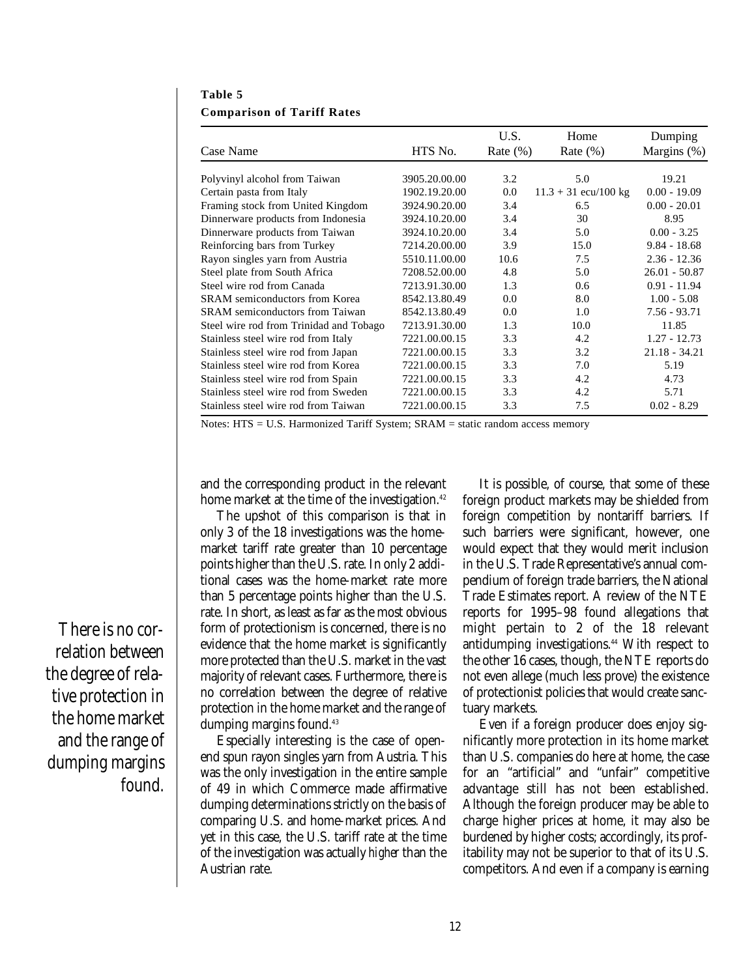| Case Name                               | HTS No.       | U.S.<br>Rate $(\%)$ | Home<br>Rate $(\%)$    | Dumping<br>Margins $(\%)$ |
|-----------------------------------------|---------------|---------------------|------------------------|---------------------------|
| Polyvinyl alcohol from Taiwan           | 3905.20.00.00 | 3.2                 | 5.0                    | 19.21                     |
| Certain pasta from Italy                | 1902.19.20.00 | 0.0                 | $11.3 + 31$ ecu/100 kg | $0.00 - 19.09$            |
| Framing stock from United Kingdom       | 3924.90.20.00 | 3.4                 | 6.5                    | $0.00 - 20.01$            |
| Dinnerware products from Indonesia      | 3924.10.20.00 | 3.4                 | 30                     | 8.95                      |
| Dinnerware products from Taiwan         | 3924.10.20.00 | 3.4                 | 5.0                    | $0.00 - 3.25$             |
| Reinforcing bars from Turkey            | 7214.20.00.00 | 3.9                 | 15.0                   | $9.84 - 18.68$            |
| Rayon singles yarn from Austria         | 5510.11.00.00 | 10.6                | 7.5                    | $2.36 - 12.36$            |
| Steel plate from South Africa           | 7208.52.00.00 | 4.8                 | 5.0                    | $26.01 - 50.87$           |
| Steel wire rod from Canada              | 7213.91.30.00 | 1.3                 | 0.6                    | $0.91 - 11.94$            |
| <b>SRAM</b> semiconductors from Korea   | 8542.13.80.49 | 0.0                 | 8.0                    | $1.00 - 5.08$             |
| <b>SRAM</b> semiconductors from Taiwan  | 8542.13.80.49 | 0.0                 | 1.0                    | $7.56 - 93.71$            |
| Steel wire rod from Trinidad and Tobago | 7213.91.30.00 | 1.3                 | 10.0                   | 11.85                     |
| Stainless steel wire rod from Italy     | 7221.00.00.15 | 3.3                 | 4.2                    | $1.27 - 12.73$            |
| Stainless steel wire rod from Japan     | 7221.00.00.15 | 3.3                 | 3.2                    | $21.18 - 34.21$           |
| Stainless steel wire rod from Korea     | 7221.00.00.15 | 3.3                 | 7.0                    | 5.19                      |
| Stainless steel wire rod from Spain     | 7221.00.00.15 | 3.3                 | 4.2                    | 4.73                      |
| Stainless steel wire rod from Sweden    | 7221.00.00.15 | 3.3                 | 4.2                    | 5.71                      |
| Stainless steel wire rod from Taiwan    | 7221.00.00.15 | 3.3                 | 7.5                    | $0.02 - 8.29$             |

**Table 5 Comparison of Tariff Rates**

Notes: HTS = U.S. Harmonized Tariff System; SRAM = static random access memory

and the corresponding product in the relevant home market at the time of the investigation. 42

The upshot of this comparison is that in only 3 of the 18 investigations was the homemarket tariff rate greater than 10 percentage points higher than the U.S. rate. In only 2 additional cases was the home-market rate more than 5 percentage points higher than the U.S. rate. In short, as least as far as the most obvious form of protectionism is concerned, there is no evidence that the home market is significantly more protected than the U.S. market in the vast majority of relevant cases. Furthermore, there is no correlation between the degree of relative protection in the home market and the range of dumping margins found. 43

Especially interesting is the case of openend spun rayon singles yarn from Austria. This was the only investigation in the entire sample of 49 in which Commerce made affirmative dumping determinations strictly on the basis of comparing U.S. and home-market prices. And yet in this case, the U.S. tariff rate at the time of the investigation was actually *higher* than the Austrian rate.

It is possible, of course, that some of these foreign product markets may be shielded from foreign competition by nontariff barriers. If such barriers were significant, however, one would expect that they would merit inclusion in the U.S. Trade Representative's annual compendium of foreign trade barriers, the National Trade Estimates report. A review of the NTE reports for 1995–98 found allegations that might pertain to 2 of the 18 relevant antidumping investigations. <sup>44</sup> With respect to the other 16 cases, though, the NTE reports do not even allege (much less prove) the existence of protectionist policies that would create sanctuary markets.

Even if a foreign producer does enjoy significantly more protection in its home market than U.S. companies do here at home, the case for an "artificial" and "unfair" competitive advantage still has not been established. Although the foreign producer may be able to charge higher prices at home, it may also be burdened by higher costs; accordingly, its profitability may not be superior to that of its U.S. competitors. And even if a company is earning

**There is no correlation between the degree of relative protection in the home market and the range of dumping margins found.**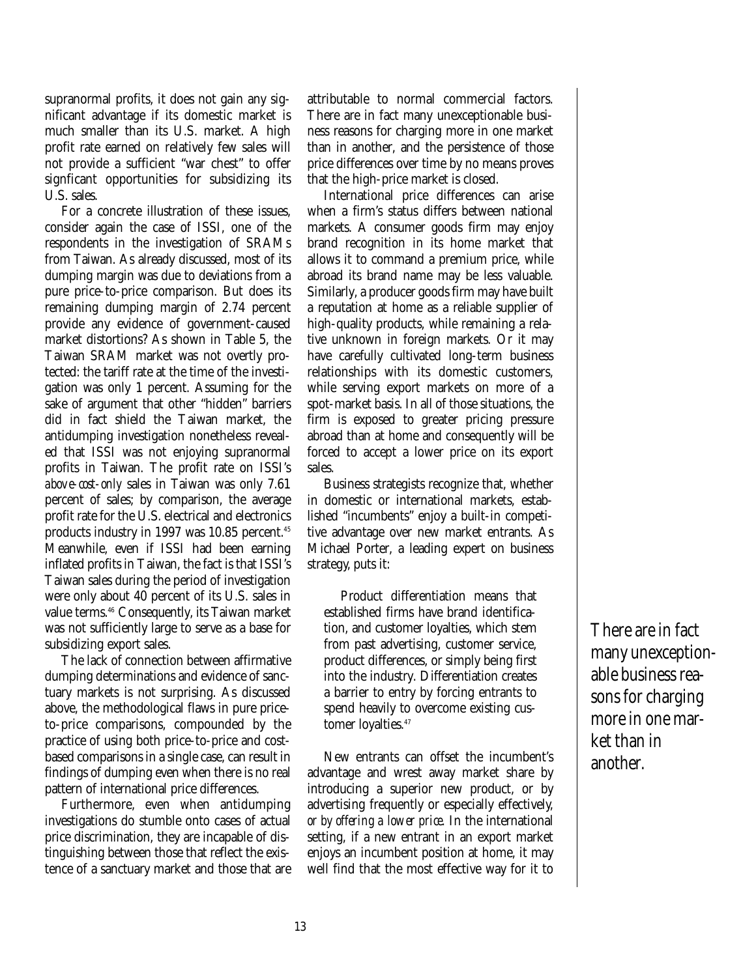supranormal profits, it does not gain any significant advantage if its domestic market is much smaller than its U.S. market. A high profit rate earned on relatively few sales will not provide a sufficient "war chest" to offer signficant opportunities for subsidizing its U.S. sales.

For a concrete illustration of these issues, consider again the case of ISSI, one of the respondents in the investigation of SRAMs from Taiwan. As already discussed, most of its dumping margin was due to deviations from a pure price-to-price comparison. But does its remaining dumping margin of 2.74 percent provide any evidence of government-caused market distortions? As shown in Table 5, the Taiwan SRAM market was not overtly protected: the tariff rate at the time of the investigation was only 1 percent. Assuming for the sake of argument that other "hidden" barriers did in fact shield the Taiwan market, the antidumping investigation nonetheless revealed that ISSI was not enjoying supranormal profits in Taiwan. The profit rate on ISSI's *above-cost-only* sales in Taiwan was only 7.61 percent of sales; by comparison, the average profit rate for the U.S. electrical and electronics products industry in 1997 was 10.85 percent. 45 Meanwhile, even if ISSI had been earning inflated profits in Taiwan, the fact is that ISSI's Taiwan sales during the period of investigation were only about 40 percent of its U.S. sales in value terms. <sup>46</sup> Consequently, its Taiwan market was not sufficiently large to serve as a base for subsidizing export sales.

The lack of connection between affirmative dumping determinations and evidence of sanctuary markets is not surprising. As discussed above, the methodological flaws in pure priceto-price comparisons, compounded by the practice of using both price-to-price and costbased comparisons in a single case, can result in findings of dumping even when there is no real pattern of international price differences.

Furthermore, even when antidumping investigations do stumble onto cases of actual price discrimination, they are incapable of distinguishing between those that reflect the existence of a sanctuary market and those that are attributable to normal commercial factors. There are in fact many unexceptionable business reasons for charging more in one market than in another, and the persistence of those price differences over time by no means proves that the high-price market is closed.

International price differences can arise when a firm's status differs between national markets. A consumer goods firm may enjoy brand recognition in its home market that allows it to command a premium price, while abroad its brand name may be less valuable. Similarly, a producer goods firm may have built a reputation at home as a reliable supplier of high-quality products, while remaining a relative unknown in foreign markets. Or it may have carefully cultivated long-term business relationships with its domestic customers, while serving export markets on more of a spot-market basis. In all of those situations, the firm is exposed to greater pricing pressure abroad than at home and consequently will be forced to accept a lower price on its export sales.

Business strategists recognize that, whether in domestic or international markets, established "incumbents" enjoy a built-in competitive advantage over new market entrants. As Michael Porter, a leading expert on business strategy, puts it:

Product differentiation means that established firms have brand identification, and customer loyalties, which stem from past advertising, customer service, product differences, or simply being first into the industry. Differentiation creates a barrier to entry by forcing entrants to spend heavily to overcome existing customer loyalties. 47

New entrants can offset the incumbent's advantage and wrest away market share by introducing a superior new product, or by advertising frequently or especially effectively, *or by offering a lower price*. In the international setting, if a new entrant in an export market enjoys an incumbent position at home, it may well find that the most effective way for it to

**There are in fact many unexceptionable business reasons for charging more in one market than in another.**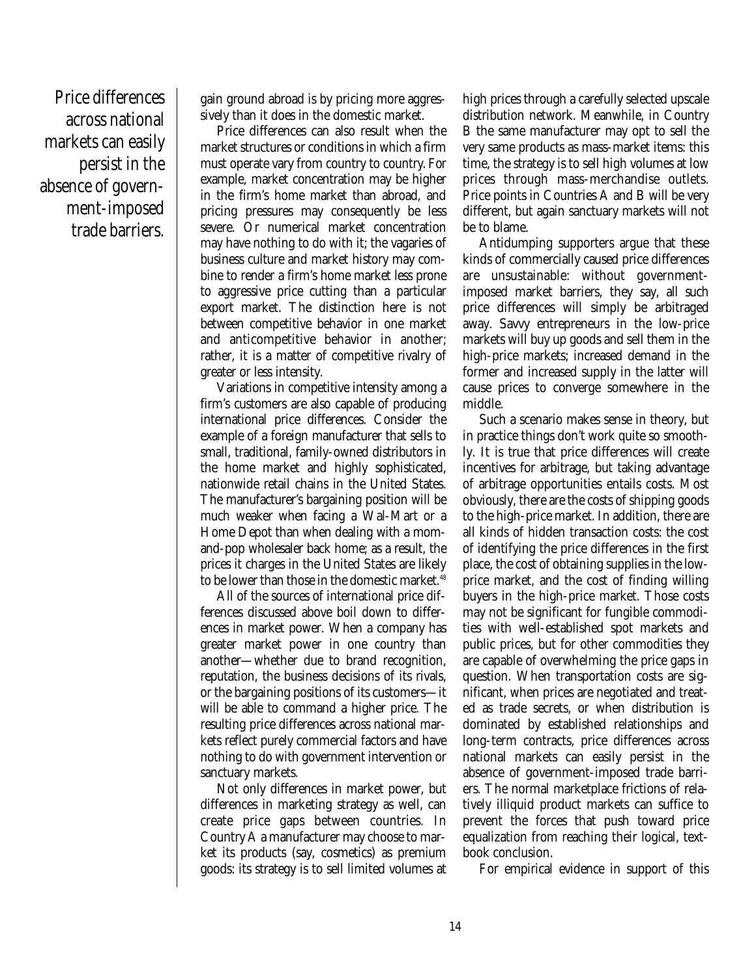**Price differences across national markets can easily persist in the absence of government-imposed trade barriers.**

gain ground abroad is by pricing more aggressively than it does in the domestic market.

Price differences can also result when the market structures or conditions in which a firm must operate vary from country to country. For example, market concentration may be higher in the firm's home market than abroad, and pricing pressures may consequently be less severe. Or numerical market concentration may have nothing to do with it; the vagaries of business culture and market history may combine to render a firm's home market less prone to aggressive price cutting than a particular export market. The distinction here is not between competitive behavior in one market and anticompetitive behavior in another; rather, it is a matter of competitive rivalry of greater or less intensity.

Variations in competitive intensity among a firm's customers are also capable of producing international price differences. Consider the example of a foreign manufacturer that sells to small, traditional, family-owned distributors in the home market and highly sophisticated, nationwide retail chains in the United States. The manufacturer's bargaining position will be much weaker when facing a Wal-Mart or a Home Depot than when dealing with a momand-pop wholesaler back home; as a result, the prices it charges in the United States are likely to be lower than those in the domestic market. 48

All of the sources of international price differences discussed above boil down to differences in market power. When a company has greater market power in one country than another—whether due to brand recognition, reputation, the business decisions of its rivals, or the bargaining positions of its customers—it will be able to command a higher price. The resulting price differences across national markets reflect purely commercial factors and have nothing to do with government intervention or sanctuary markets.

Not only differences in market power, but differences in marketing strategy as well, can create price gaps between countries. In Country A a manufacturer may choose to market its products (say, cosmetics) as premium goods: its strategy is to sell limited volumes at high prices through a carefully selected upscale distribution network. Meanwhile, in Country B the same manufacturer may opt to sell the very same products as mass-market items: this time, the strategy is to sell high volumes at low prices through mass-merchandise outlets. Price points in Countries A and B will be very different, but again sanctuary markets will not be to blame.

Antidumping supporters argue that these kinds of commercially caused price differences are unsustainable: without governmentimposed market barriers, they say, all such price differences will simply be arbitraged away. Savvy entrepreneurs in the low-price markets will buy up goods and sell them in the high-price markets; increased demand in the former and increased supply in the latter will cause prices to converge somewhere in the middle.

Such a scenario makes sense in theory, but in practice things don't work quite so smoothly. It is true that price differences will create incentives for arbitrage, but taking advantage of arbitrage opportunities entails costs. Most obviously, there are the costs of shipping goods to the high-price market. In addition, there are all kinds of hidden transaction costs: the cost of identifying the price differences in the first place, the cost of obtaining supplies in the lowprice market, and the cost of finding willing buyers in the high-price market. Those costs may not be significant for fungible commodities with well-established spot markets and public prices, but for other commodities they are capable of overwhelming the price gaps in question. When transportation costs are significant, when prices are negotiated and treated as trade secrets, or when distribution is dominated by established relationships and long-term contracts, price differences across national markets can easily persist in the absence of government-imposed trade barriers. The normal marketplace frictions of relatively illiquid product markets can suffice to prevent the forces that push toward price equalization from reaching their logical, textbook conclusion.

For empirical evidence in support of this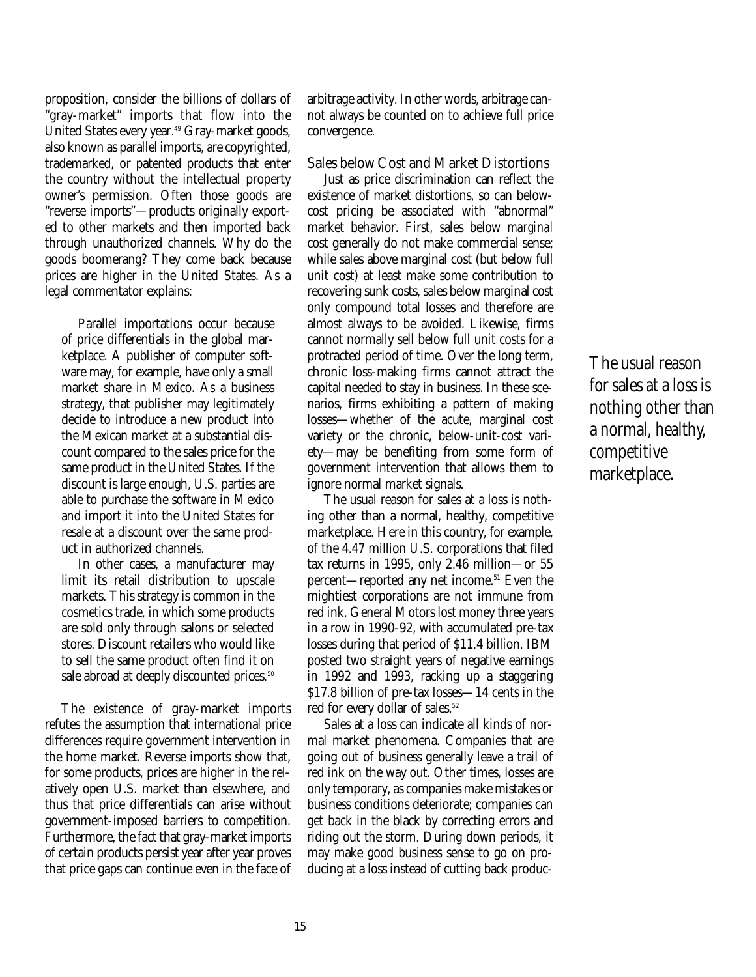proposition, consider the billions of dollars of "gray-market" imports that flow into the United States every year. <sup>49</sup> Gray-market goods, also known as parallel imports, are copyrighted, trademarked, or patented products that enter the country without the intellectual property owner's permission. Often those goods are "reverse imports"—products originally exported to other markets and then imported back through unauthorized channels. Why do the goods boomerang? They come back because prices are higher in the United States. As a legal commentator explains:

Parallel importations occur because of price differentials in the global marketplace. A publisher of computer software may, for example, have only a small market share in Mexico. As a business strategy, that publisher may legitimately decide to introduce a new product into the Mexican market at a substantial discount compared to the sales price for the same product in the United States. If the discount is large enough, U.S. parties are able to purchase the software in Mexico and import it into the United States for resale at a discount over the same product in authorized channels.

In other cases, a manufacturer may limit its retail distribution to upscale markets. This strategy is common in the cosmetics trade, in which some products are sold only through salons or selected stores. Discount retailers who would like to sell the same product often find it on sale abroad at deeply discounted prices. 50

The existence of gray-market imports refutes the assumption that international price differences require government intervention in the home market. Reverse imports show that, for some products, prices are higher in the relatively open U.S. market than elsewhere, and thus that price differentials can arise without government-imposed barriers to competition. Furthermore, the fact that gray-market imports of certain products persist year after year proves that price gaps can continue even in the face of arbitrage activity. In other words, arbitrage cannot always be counted on to achieve full price convergence.

#### **Sales below Cost and Market Distortions**

Just as price discrimination can reflect the existence of market distortions, so can belowcost pricing be associated with "abnormal" market behavior. First, sales below *marginal* cost generally do not make commercial sense; while sales above marginal cost (but below full unit cost) at least make some contribution to recovering sunk costs, sales below marginal cost only compound total losses and therefore are almost always to be avoided. Likewise, firms cannot normally sell below full unit costs for a protracted period of time. Over the long term, chronic loss-making firms cannot attract the capital needed to stay in business. In these scenarios, firms exhibiting a pattern of making losses—whether of the acute, marginal cost variety or the chronic, below-unit-cost variety—may be benefiting from some form of government intervention that allows them to ignore normal market signals.

The usual reason for sales at a loss is nothing other than a normal, healthy, competitive marketplace. Here in this country, for example, of the 4.47 million U.S. corporations that filed tax returns in 1995, only 2.46 million—or 55 percent—reported any net income. <sup>51</sup> Even the mightiest corporations are not immune from red ink. General Motors lost money three years in a row in 1990-92, with accumulated pre-tax losses during that period of \$11.4 billion. IBM posted two straight years of negative earnings in 1992 and 1993, racking up a staggering \$17.8 billion of pre-tax losses—14 cents in the red for every dollar of sales. 52

Sales at a loss can indicate all kinds of normal market phenomena. Companies that are going out of business generally leave a trail of red ink on the way out. Other times, losses are only temporary, as companies make mistakes or business conditions deteriorate; companies can get back in the black by correcting errors and riding out the storm. During down periods, it may make good business sense to go on producing at a loss instead of cutting back produc**The usual reason for sales at a loss is nothing other than a normal, healthy, competitive marketplace.**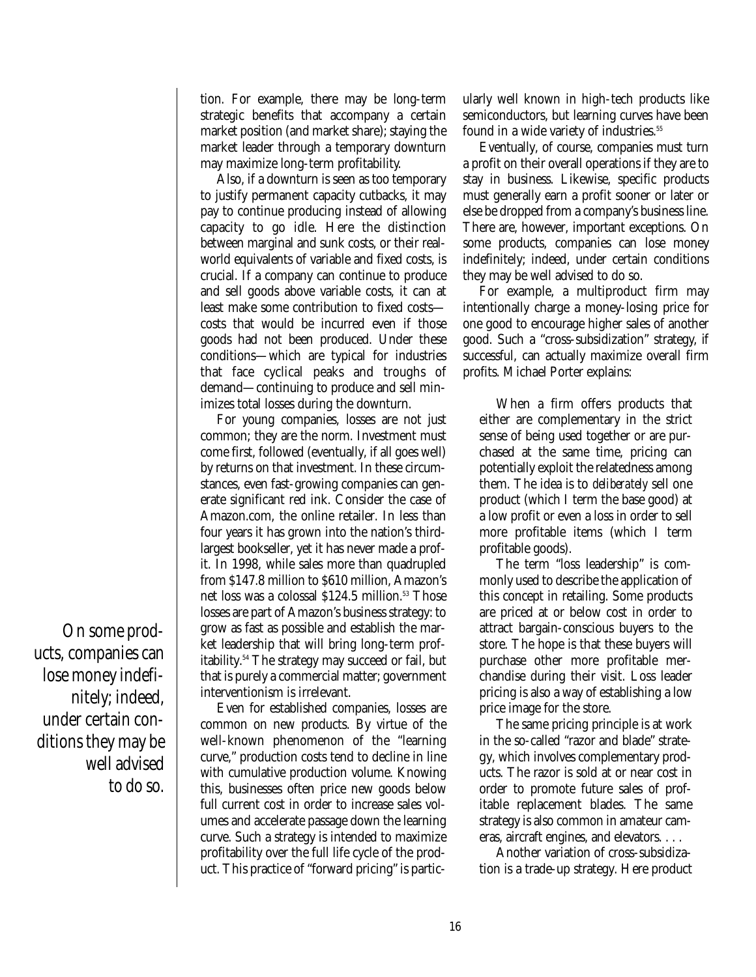tion. For example, there may be long-term strategic benefits that accompany a certain market position (and market share); staying the market leader through a temporary downturn may maximize long-term profitability.

Also, if a downturn is seen as too temporary to justify permanent capacity cutbacks, it may pay to continue producing instead of allowing capacity to go idle. Here the distinction between marginal and sunk costs, or their realworld equivalents of variable and fixed costs, is crucial. If a company can continue to produce and sell goods above variable costs, it can at least make some contribution to fixed costs costs that would be incurred even if those goods had not been produced. Under these conditions—which are typical for industries that face cyclical peaks and troughs of demand—continuing to produce and sell minimizes total losses during the downturn.

For young companies, losses are not just common; they are the norm. Investment must come first, followed (eventually, if all goes well) by returns on that investment. In these circumstances, even fast-growing companies can generate significant red ink. Consider the case of Amazon.com, the online retailer. In less than four years it has grown into the nation's thirdlargest bookseller, yet it has never made a profit. In 1998, while sales more than quadrupled from \$147.8 million to \$610 million, Amazon's net loss was a colossal \$124.5 million. <sup>53</sup> Those losses are part of Amazon's business strategy: to grow as fast as possible and establish the market leadership that will bring long-term profitability. <sup>54</sup> The strategy may succeed or fail, but that is purely a commercial matter; government interventionism is irrelevant.

Even for established companies, losses are common on new products. By virtue of the well-known phenomenon of the "learning curve," production costs tend to decline in line with cumulative production volume. Knowing this, businesses often price new goods below full current cost in order to increase sales volumes and accelerate passage down the learning curve. Such a strategy is intended to maximize profitability over the full life cycle of the product. This practice of "forward pricing" is partic-

ularly well known in high-tech products like semiconductors, but learning curves have been found in a wide variety of industries. 55

Eventually, of course, companies must turn a profit on their overall operations if they are to stay in business. Likewise, specific products must generally earn a profit sooner or later or else be dropped from a company's business line. There are, however, important exceptions. On some products, companies can lose money indefinitely; indeed, under certain conditions they may be well advised to do so.

For example, a multiproduct firm may intentionally charge a money-losing price for one good to encourage higher sales of another good. Such a "cross-subsidization" strategy, if successful, can actually maximize overall firm profits. Michael Porter explains:

When a firm offers products that either are complementary in the strict sense of being used together or are purchased at the same time, pricing can potentially exploit the relatedness among them. The idea is to *deliberately* sell one product (which I term the base good) at a low profit or even a loss in order to sell more profitable items (which I term profitable goods).

The term "loss leadership" is commonly used to describe the application of this concept in retailing. Some products are priced at or below cost in order to attract bargain-conscious buyers to the store. The hope is that these buyers will purchase other more profitable merchandise during their visit. Loss leader pricing is also a way of establishing a low price image for the store.

The same pricing principle is at work in the so-called "razor and blade" strategy, which involves complementary products. The razor is sold at or near cost in order to promote future sales of profitable replacement blades. The same strategy is also common in amateur cameras, aircraft engines, and elevators. . . .

Another variation of cross-subsidization is a trade-up strategy. Here product

**On some products, companies can lose money indefinitely; indeed, under certain conditions they may be well advised to do so.**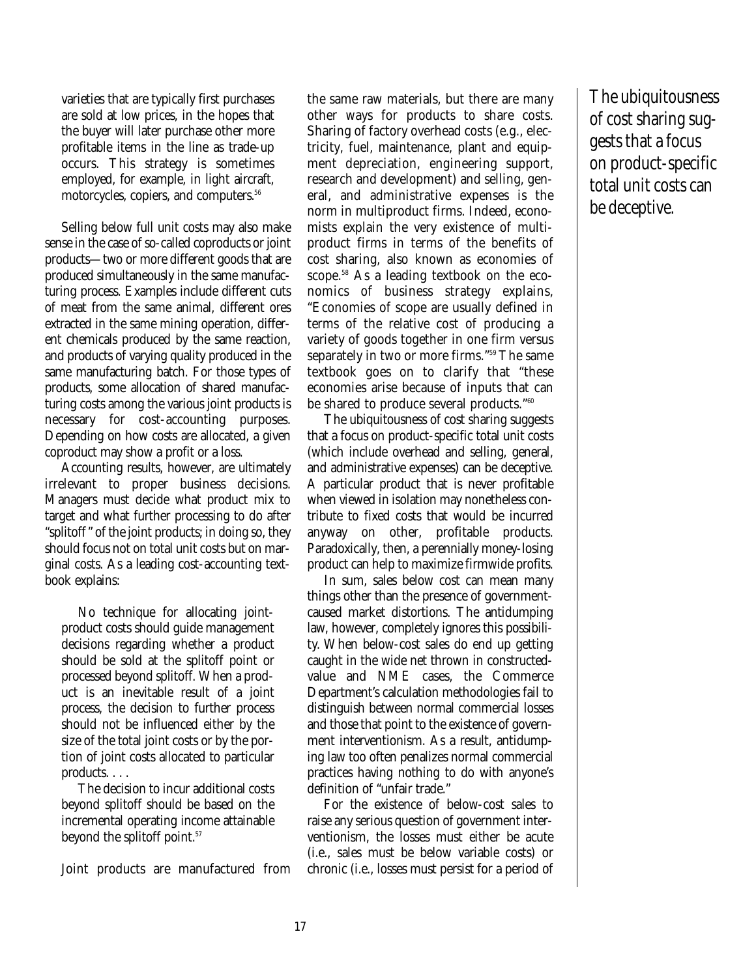varieties that are typically first purchases are sold at low prices, in the hopes that the buyer will later purchase other more profitable items in the line as trade-up occurs. This strategy is sometimes employed, for example, in light aircraft, motorcycles, copiers, and computers. 56

Selling below full unit costs may also make sense in the case of so-called coproducts or joint products—two or more different goods that are produced simultaneously in the same manufacturing process. Examples include different cuts of meat from the same animal, different ores extracted in the same mining operation, different chemicals produced by the same reaction, and products of varying quality produced in the same manufacturing batch. For those types of products, some allocation of shared manufacturing costs among the various joint products is necessary for cost-accounting purposes. Depending on how costs are allocated, a given coproduct may show a profit or a loss.

Accounting results, however, are ultimately irrelevant to proper business decisions. Managers must decide what product mix to target and what further processing to do after "splitoff" of the joint products; in doing so, they should focus not on total unit costs but on marginal costs. As a leading cost-accounting textbook explains:

No technique for allocating jointproduct costs should guide management decisions regarding whether a product should be sold at the splitoff point or processed beyond splitoff. When a product is an inevitable result of a joint process, the decision to further process should not be influenced either by the size of the total joint costs or by the portion of joint costs allocated to particular products. . . .

The decision to incur additional costs beyond splitoff should be based on the incremental operating income attainable beyond the splitoff point. 57

Joint products are manufactured from

the same raw materials, but there are many other ways for products to share costs. Sharing of factory overhead costs (e.g., electricity, fuel, maintenance, plant and equipment depreciation, engineering support, research and development) and selling, general, and administrative expenses is the norm in multiproduct firms. Indeed, economists explain the very existence of multiproduct firms in terms of the benefits of cost sharing, also known as economies of scope. <sup>58</sup> As a leading textbook on the economics of business strategy explains, "Economies of scope are usually defined in terms of the relative cost of producing a variety of goods together in one firm versus separately in two or more firms." <sup>59</sup> The same textbook goes on to clarify that "these economies arise because of inputs that can be shared to produce several products." 60

The ubiquitousness of cost sharing suggests that a focus on product-specific total unit costs (which include overhead and selling, general, and administrative expenses) can be deceptive. A particular product that is never profitable when viewed in isolation may nonetheless contribute to fixed costs that would be incurred anyway on other, profitable products. Paradoxically, then, a perennially money-losing product can help to maximize firmwide profits.

In sum, sales below cost can mean many things other than the presence of governmentcaused market distortions. The antidumping law, however, completely ignores this possibility. When below-cost sales do end up getting caught in the wide net thrown in constructedvalue and NME cases, the Commerce Department's calculation methodologies fail to distinguish between normal commercial losses and those that point to the existence of government interventionism. As a result, antidumping law too often penalizes normal commercial practices having nothing to do with anyone's definition of "unfair trade."

For the existence of below-cost sales to raise any serious question of government interventionism, the losses must either be acute (i.e., sales must be below variable costs) or chronic (i.e., losses must persist for a period of

**The ubiquitousness of cost sharing suggests that a focus on product-specific total unit costs can be deceptive.**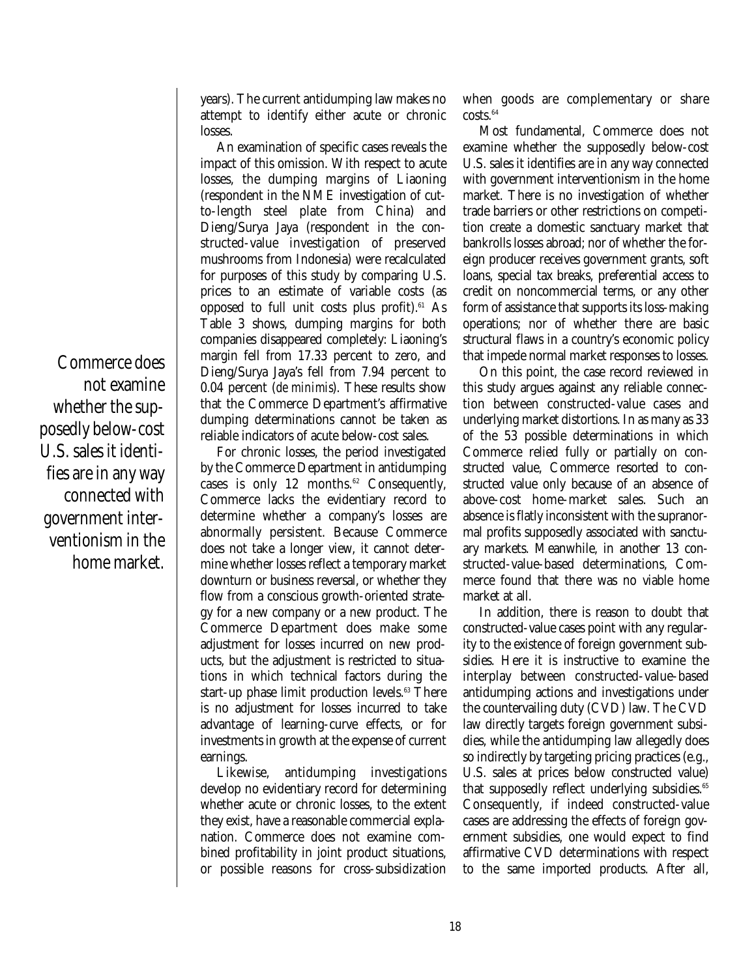**Commerce does not examine whether the supposedly below-cost U.S. sales it identifies are in any way connected with government interventionism in the home market.** years). The current antidumping law makes no attempt to identify either acute or chronic losses.

An examination of specific cases reveals the impact of this omission. With respect to acute losses, the dumping margins of Liaoning (respondent in the NME investigation of cutto-length steel plate from China) and Dieng/Surya Jaya (respondent in the constructed-value investigation of preserved mushrooms from Indonesia) were recalculated for purposes of this study by comparing U.S. prices to an estimate of variable costs (as opposed to full unit costs plus profit). <sup>61</sup> As Table 3 shows, dumping margins for both companies disappeared completely: Liaoning's margin fell from 17.33 percent to zero, and Dieng/Surya Jaya's fell from 7.94 percent to 0.04 percent (*de minimis*). These results show that the Commerce Department's affirmative dumping determinations cannot be taken as reliable indicators of acute below-cost sales.

For chronic losses, the period investigated by the Commerce Department in antidumping cases is only 12 months. <sup>62</sup> Consequently, Commerce lacks the evidentiary record to determine whether a company's losses are abnormally persistent. Because Commerce does not take a longer view, it cannot determine whether losses reflect a temporary market downturn or business reversal, or whether they flow from a conscious growth-oriented strategy for a new company or a new product. The Commerce Department does make some adjustment for losses incurred on new products, but the adjustment is restricted to situations in which technical factors during the start-up phase limit production levels. <sup>63</sup> There is no adjustment for losses incurred to take advantage of learning-curve effects, or for investments in growth at the expense of current earnings.

Likewise, antidumping investigations develop no evidentiary record for determining whether acute or chronic losses, to the extent they exist, have a reasonable commercial explanation. Commerce does not examine combined profitability in joint product situations, or possible reasons for cross-subsidization when goods are complementary or share costs. 64

Most fundamental, Commerce does not examine whether the supposedly below-cost U.S. sales it identifies are in any way connected with government interventionism in the home market. There is no investigation of whether trade barriers or other restrictions on competition create a domestic sanctuary market that bankrolls losses abroad; nor of whether the foreign producer receives government grants, soft loans, special tax breaks, preferential access to credit on noncommercial terms, or any other form of assistance that supports its loss-making operations; nor of whether there are basic structural flaws in a country's economic policy that impede normal market responses to losses.

On this point, the case record reviewed in this study argues against any reliable connection between constructed-value cases and underlying market distortions. In as many as 33 of the 53 possible determinations in which Commerce relied fully or partially on constructed value, Commerce resorted to constructed value only because of an absence of above-cost home-market sales. Such an absence is flatly inconsistent with the supranormal profits supposedly associated with sanctuary markets. Meanwhile, in another 13 constructed-value-based determinations, Commerce found that there was no viable home market at all.

In addition, there is reason to doubt that constructed-value cases point with any regularity to the existence of foreign government subsidies. Here it is instructive to examine the interplay between constructed-value-based antidumping actions and investigations under the countervailing duty (CVD) law. The CVD law directly targets foreign government subsidies, while the antidumping law allegedly does so indirectly by targeting pricing practices (e.g., U.S. sales at prices below constructed value) that supposedly reflect underlying subsidies. 65 Consequently, if indeed constructed-value cases are addressing the effects of foreign government subsidies, one would expect to find affirmative CVD determinations with respect to the same imported products. After all,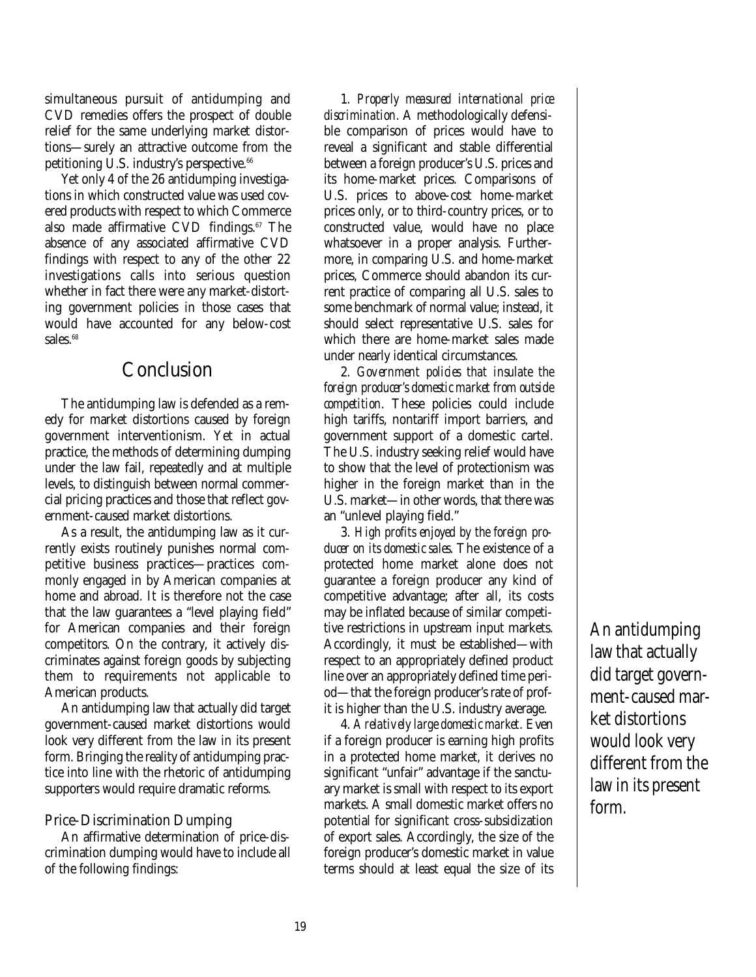simultaneous pursuit of antidumping and CVD remedies offers the prospect of double relief for the same underlying market distortions—surely an attractive outcome from the petitioning U.S. industry's perspective. 66

Yet only 4 of the 26 antidumping investigations in which constructed value was used covered products with respect to which Commerce also made affirmative CVD findings. <sup>67</sup> The absence of any associated affirmative CVD findings with respect to any of the other 22 investigations calls into serious question whether in fact there were any market-distorting government policies in those cases that would have accounted for any below-cost sales. 68

## **Conclusion**

The antidumping law is defended as a remedy for market distortions caused by foreign government interventionism. Yet in actual practice, the methods of determining dumping under the law fail, repeatedly and at multiple levels, to distinguish between normal commercial pricing practices and those that reflect government-caused market distortions.

As a result, the antidumping law as it currently exists routinely punishes normal competitive business practices—practices commonly engaged in by American companies at home and abroad. It is therefore not the case that the law guarantees a "level playing field" for American companies and their foreign competitors. On the contrary, it actively discriminates against foreign goods by subjecting them to requirements not applicable to American products.

An antidumping law that actually did target government-caused market distortions would look very different from the law in its present form. Bringing the reality of antidumping practice into line with the rhetoric of antidumping supporters would require dramatic reforms.

#### **Price-Discrimination Dumping**

An affirmative determination of price-discrimination dumping would have to include all of the following findings:

1. *Properly measured international price discrimination*. A methodologically defensible comparison of prices would have to reveal a significant and stable differential between a foreign producer's U.S. prices and its home-market prices. Comparisons of U.S. prices to above-cost home-market prices only, or to third-country prices, or to constructed value, would have no place whatsoever in a proper analysis. Furthermore, in comparing U.S. and home-market prices, Commerce should abandon its current practice of comparing all U.S. sales to some benchmark of normal value; instead, it should select representative U.S. sales for which there are home-market sales made under nearly identical circumstances.

2. *Government policies that insulate the foreign producer's domestic market from outside competition*. These policies could include high tariffs, nontariff import barriers, and government support of a domestic cartel. The U.S. industry seeking relief would have to show that the level of protectionism was higher in the foreign market than in the U.S. market—in other words, that there was an "unlevel playing field."

3. *High profits enjoyed by the foreign producer on its domestic sales*. The existence of a protected home market alone does not guarantee a foreign producer any kind of competitive advantage; after all, its costs may be inflated because of similar competitive restrictions in upstream input markets. Accordingly, it must be established—with respect to an appropriately defined product line over an appropriately defined time period—that the foreign producer's rate of profit is higher than the U.S. industry average.

4. *A relatively large domestic market*. Even if a foreign producer is earning high profits in a protected home market, it derives no significant "unfair" advantage if the sanctuary market is small with respect to its export markets. A small domestic market offers no potential for significant cross-subsidization of export sales. Accordingly, the size of the foreign producer's domestic market in value terms should at least equal the size of its

**An antidumping law that actually did target government-caused market distortions would look very different from the law in its present form.**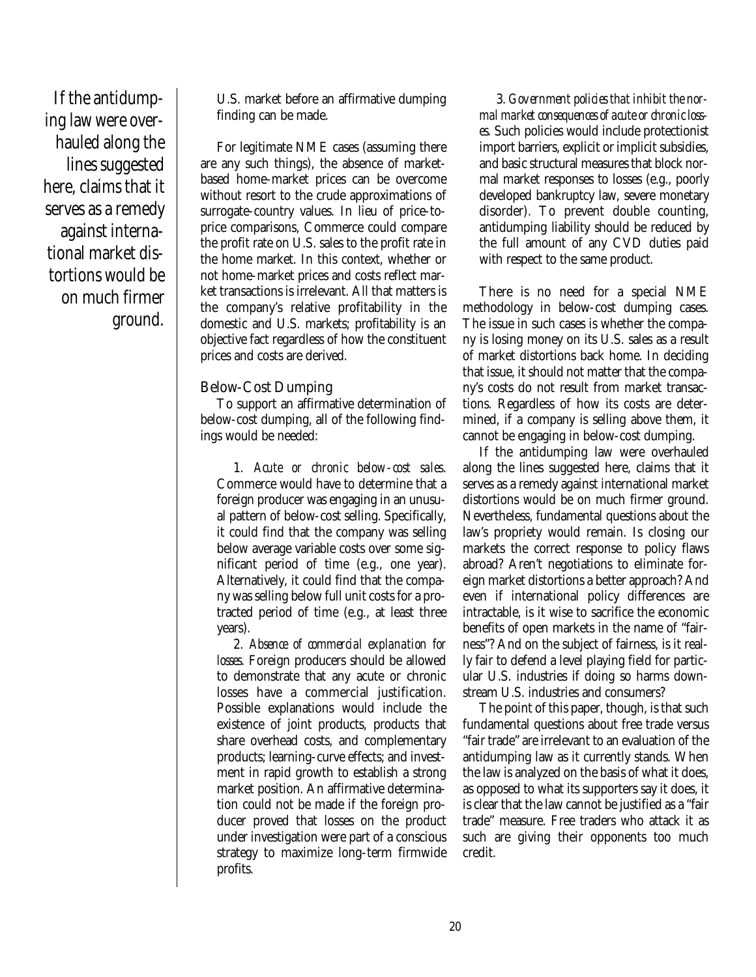**If the antidumping law were overhauled along the lines suggested here, claims that it serves as a remedy against international market distortions would be on much firmer ground.** 

U.S. market before an affirmative dumping finding can be made.

For legitimate NME cases (assuming there are any such things), the absence of marketbased home-market prices can be overcome without resort to the crude approximations of surrogate-country values. In lieu of price-toprice comparisons, Commerce could compare the profit rate on U.S. sales to the profit rate in the home market. In this context, whether or not home-market prices and costs reflect market transactions is irrelevant. All that matters is the company's relative profitability in the domestic and U.S. markets; profitability is an objective fact regardless of how the constituent prices and costs are derived.

#### **Below-Cost Dumping**

To support an affirmative determination of below-cost dumping, all of the following findings would be needed:

1. *Acute or chronic below-cost sales*. Commerce would have to determine that a foreign producer was engaging in an unusual pattern of below-cost selling. Specifically, it could find that the company was selling below average variable costs over some significant period of time (e.g., one year). Alternatively, it could find that the company was selling below full unit costs for a protracted period of time (e.g., at least three years).

2. *Absence of commercial explanation for losses*. Foreign producers should be allowed to demonstrate that any acute or chronic losses have a commercial justification. Possible explanations would include the existence of joint products, products that share overhead costs, and complementary products; learning-curve effects; and investment in rapid growth to establish a strong market position. An affirmative determination could not be made if the foreign producer proved that losses on the product under investigation were part of a conscious strategy to maximize long-term firmwide profits.

3. *Government policies that inhibit the normal market consequences of acute or chronic losses*. Such policies would include protectionist import barriers, explicit or implicit subsidies, and basic structural measures that block normal market responses to losses (e.g., poorly developed bankruptcy law, severe monetary disorder). To prevent double counting, antidumping liability should be reduced by the full amount of any CVD duties paid with respect to the same product.

There is no need for a special NME methodology in below-cost dumping cases. The issue in such cases is whether the company is losing money on its U.S. sales as a result of market distortions back home. In deciding that issue, it should not matter that the company's costs do not result from market transactions. Regardless of how its costs are determined, if a company is selling above them, it cannot be engaging in below-cost dumping.

If the antidumping law were overhauled along the lines suggested here, claims that it serves as a remedy against international market distortions would be on much firmer ground. Nevertheless, fundamental questions about the law's propriety would remain. Is closing our markets the correct response to policy flaws abroad? Aren't negotiations to eliminate foreign market distortions a better approach? And even if international policy differences are intractable, is it wise to sacrifice the economic benefits of open markets in the name of "fairness"? And on the subject of fairness, is it really fair to defend a level playing field for particular U.S. industries if doing so harms downstream U.S. industries and consumers?

The point of this paper, though, is that such fundamental questions about free trade versus "fair trade" are irrelevant to an evaluation of the antidumping law as it currently stands. When the law is analyzed on the basis of what it does, as opposed to what its supporters say it does, it is clear that the law cannot be justified as a "fair trade" measure. Free traders who attack it as such are giving their opponents too much credit.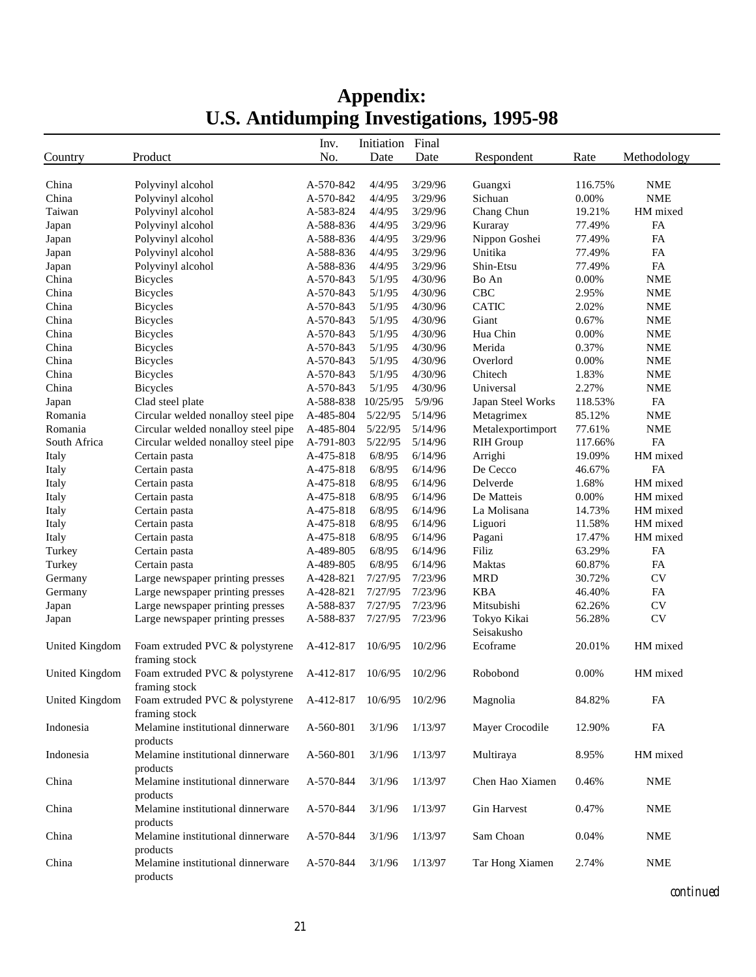| Country        | Product                                                   | Inv.<br>No. | Initiation<br>Date | Final<br>Date | Respondent                | Rate     | Methodology                 |
|----------------|-----------------------------------------------------------|-------------|--------------------|---------------|---------------------------|----------|-----------------------------|
| China          | Polyvinyl alcohol                                         | A-570-842   | 4/4/95             | 3/29/96       | Guangxi                   | 116.75%  | <b>NME</b>                  |
| China          | Polyvinyl alcohol                                         | A-570-842   | 4/4/95             | 3/29/96       | Sichuan                   | $0.00\%$ | <b>NME</b>                  |
| Taiwan         | Polyvinyl alcohol                                         | A-583-824   | 4/4/95             | 3/29/96       | Chang Chun                | 19.21%   | HM mixed                    |
| Japan          | Polyvinyl alcohol                                         | A-588-836   | 4/4/95             | 3/29/96       | Kuraray                   | 77.49%   | FA                          |
| Japan          | Polyvinyl alcohol                                         | A-588-836   | 4/4/95             | 3/29/96       | Nippon Goshei             | 77.49%   | <b>FA</b>                   |
| Japan          | Polyvinyl alcohol                                         | A-588-836   | 4/4/95             | 3/29/96       | Unitika                   | 77.49%   | FA                          |
| Japan          | Polyvinyl alcohol                                         | A-588-836   | 4/4/95             | 3/29/96       | Shin-Etsu                 | 77.49%   | FA                          |
| China          | <b>Bicycles</b>                                           | A-570-843   | 5/1/95             | 4/30/96       | Bo An                     | $0.00\%$ | <b>NME</b>                  |
| China          | <b>Bicycles</b>                                           | A-570-843   | 5/1/95             | 4/30/96       | <b>CBC</b>                | 2.95%    | <b>NME</b>                  |
| China          | <b>Bicycles</b>                                           | A-570-843   | 5/1/95             | 4/30/96       | <b>CATIC</b>              | 2.02%    | <b>NME</b>                  |
| China          | <b>Bicycles</b>                                           | A-570-843   | 5/1/95             | 4/30/96       | Giant                     | 0.67%    | <b>NME</b>                  |
| China          | <b>Bicycles</b>                                           | A-570-843   | 5/1/95             | 4/30/96       | Hua Chin                  | $0.00\%$ | $\ensuremath{\mathsf{NME}}$ |
| China          | <b>Bicycles</b>                                           | A-570-843   | 5/1/95             | 4/30/96       | Merida                    | 0.37%    | <b>NME</b>                  |
| China          | <b>Bicycles</b>                                           | A-570-843   | 5/1/95             | 4/30/96       | Overlord                  | $0.00\%$ | <b>NME</b>                  |
| China          |                                                           | A-570-843   | 5/1/95             | 4/30/96       | Chitech                   | 1.83%    | <b>NME</b>                  |
|                | <b>Bicycles</b>                                           |             |                    |               | Universal                 |          |                             |
| China          | <b>Bicycles</b>                                           | A-570-843   | 5/1/95             | 4/30/96       |                           | 2.27%    | <b>NME</b>                  |
| Japan          | Clad steel plate                                          | A-588-838   | 10/25/95           | 5/9/96        | Japan Steel Works         | 118.53%  | <b>FA</b>                   |
| Romania        | Circular welded nonalloy steel pipe                       | A-485-804   | 5/22/95            | 5/14/96       | Metagrimex                | 85.12%   | <b>NME</b>                  |
| Romania        | Circular welded nonalloy steel pipe                       | A-485-804   | 5/22/95            | 5/14/96       | Metalexportimport         | 77.61%   | <b>NME</b>                  |
| South Africa   | Circular welded nonalloy steel pipe                       | A-791-803   | 5/22/95            | 5/14/96       | <b>RIH Group</b>          | 117.66%  | FA                          |
| Italy          | Certain pasta                                             | A-475-818   | 6/8/95             | 6/14/96       | Arrighi                   | 19.09%   | HM mixed                    |
| Italy          | Certain pasta                                             | A-475-818   | 6/8/95             | 6/14/96       | De Cecco                  | 46.67%   | FA                          |
| Italy          | Certain pasta                                             | A-475-818   | 6/8/95             | 6/14/96       | Delverde                  | 1.68%    | HM mixed                    |
| Italy          | Certain pasta                                             | A-475-818   | 6/8/95             | 6/14/96       | De Matteis                | 0.00%    | HM mixed                    |
| Italy          | Certain pasta                                             | A-475-818   | 6/8/95             | 6/14/96       | La Molisana               | 14.73%   | HM mixed                    |
| Italy          | Certain pasta                                             | A-475-818   | 6/8/95             | 6/14/96       | Liguori                   | 11.58%   | HM mixed                    |
| Italy          | Certain pasta                                             | A-475-818   | 6/8/95             | 6/14/96       | Pagani                    | 17.47%   | HM mixed                    |
| Turkey         | Certain pasta                                             | A-489-805   | 6/8/95             | 6/14/96       | Filiz                     | 63.29%   | FA                          |
| Turkey         | Certain pasta                                             | A-489-805   | 6/8/95             | 6/14/96       | Maktas                    | 60.87%   | ${\rm FA}$                  |
| Germany        | Large newspaper printing presses                          | A-428-821   | 7/27/95            | 7/23/96       | <b>MRD</b>                | 30.72%   | <b>CV</b>                   |
| Germany        | Large newspaper printing presses                          | A-428-821   | 7/27/95            | 7/23/96       | <b>KBA</b>                | 46.40%   | FA                          |
| Japan          | Large newspaper printing presses                          | A-588-837   | 7/27/95            | 7/23/96       | Mitsubishi                | 62.26%   | <b>CV</b>                   |
| Japan          | Large newspaper printing presses                          | A-588-837   | 7/27/95            | 7/23/96       | Tokyo Kikai<br>Seisakusho | 56.28%   | <b>CV</b>                   |
| United Kingdom | Foam extruded PVC & polystyrene<br>framing stock          | A-412-817   | 10/6/95            | 10/2/96       | Ecoframe                  | 20.01%   | HM mixed                    |
| United Kingdom | Foam extruded PVC & polystyrene<br>framing stock          | A-412-817   | 10/6/95            | 10/2/96       | Robobond                  | 0.00%    | HM mixed                    |
| United Kingdom | Foam extruded PVC & polystyrene<br>framing stock          | A-412-817   | 10/6/95            | 10/2/96       | Magnolia                  | 84.82%   | FA                          |
| Indonesia      | Melamine institutional dinnerware<br>products             | A-560-801   | 3/1/96             | 1/13/97       | Mayer Crocodile           | 12.90%   | FA                          |
| Indonesia      | Melamine institutional dinnerware<br>products             | A-560-801   | 3/1/96             | 1/13/97       | Multiraya                 | 8.95%    | HM mixed                    |
| China          | Melamine institutional dinnerware<br>products             | A-570-844   | 3/1/96             | 1/13/97       | Chen Hao Xiamen           | 0.46%    | <b>NME</b>                  |
| China          | Melamine institutional dinnerware<br>products             | A-570-844   | 3/1/96             | 1/13/97       | <b>Gin Harvest</b>        | 0.47%    | <b>NME</b>                  |
| China          | Melamine institutional dinnerware                         | A-570-844   | 3/1/96             | 1/13/97       | Sam Choan                 | 0.04%    | <b>NME</b>                  |
| China          | products<br>Melamine institutional dinnerware<br>products | A-570-844   | 3/1/96             | 1/13/97       | Tar Hong Xiamen           | 2.74%    | <b>NME</b>                  |

## **Appendix: U.S. Antidumping Investigations, 1995-98**

*continued*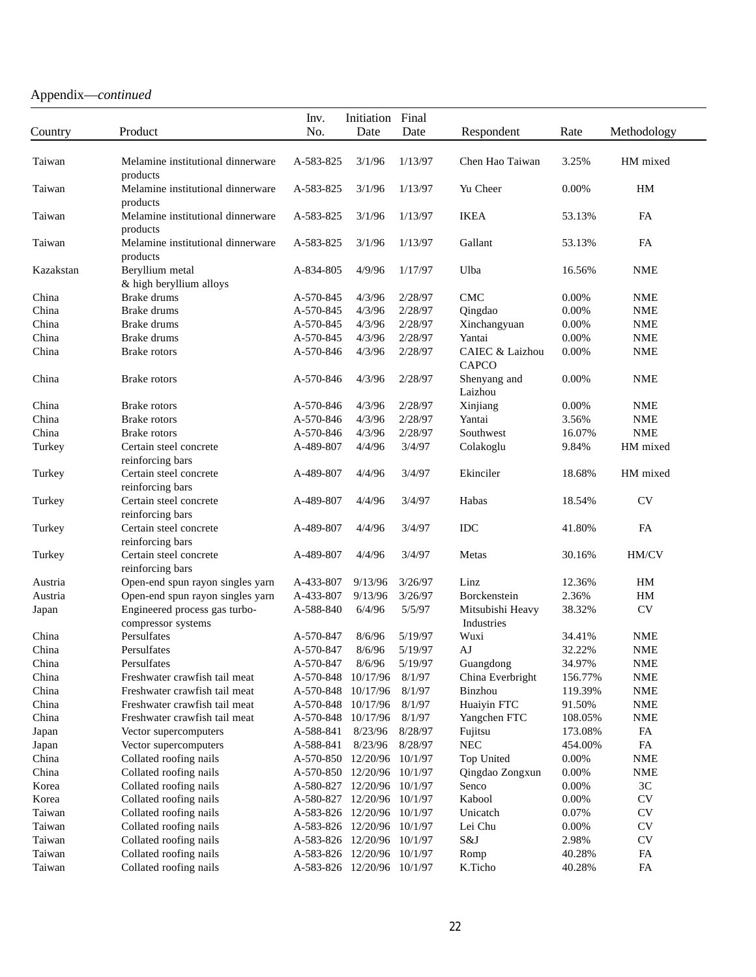#### Appendix—*continued*

| Country   | Product                                             | Inv.<br>No.        | Initiation Final<br>Date   | Date    | Respondent                      | Rate     | Methodology      |
|-----------|-----------------------------------------------------|--------------------|----------------------------|---------|---------------------------------|----------|------------------|
| Taiwan    | Melamine institutional dinnerware                   | A-583-825          | 3/1/96                     | 1/13/97 | Chen Hao Taiwan                 | 3.25%    | HM mixed         |
|           | products                                            |                    |                            |         |                                 |          |                  |
| Taiwan    | Melamine institutional dinnerware<br>products       | A-583-825          | 3/1/96                     | 1/13/97 | Yu Cheer                        | 0.00%    | HM               |
| Taiwan    | Melamine institutional dinnerware<br>products       | A-583-825          | 3/1/96                     | 1/13/97 | <b>IKEA</b>                     | 53.13%   | FA               |
| Taiwan    | Melamine institutional dinnerware<br>products       | A-583-825          | 3/1/96                     | 1/13/97 | Gallant                         | 53.13%   | FA               |
| Kazakstan | Beryllium metal<br>& high beryllium alloys          | A-834-805          | 4/9/96                     | 1/17/97 | Ulba                            | 16.56%   | <b>NME</b>       |
| China     | Brake drums                                         | A-570-845          | 4/3/96                     | 2/28/97 | <b>CMC</b>                      | 0.00%    | <b>NME</b>       |
| China     | Brake drums                                         | A-570-845          | 4/3/96                     | 2/28/97 | Qingdao                         | 0.00%    | <b>NME</b>       |
| China     | Brake drums                                         | A-570-845          | 4/3/96                     | 2/28/97 | Xinchangyuan                    | 0.00%    | <b>NME</b>       |
| China     | Brake drums                                         | A-570-845          | 4/3/96                     | 2/28/97 | Yantai                          | 0.00%    | <b>NME</b>       |
| China     | Brake rotors                                        | A-570-846          | 4/3/96                     | 2/28/97 | CAIEC & Laizhou<br><b>CAPCO</b> | 0.00%    | <b>NME</b>       |
| China     | <b>Brake</b> rotors                                 | A-570-846          | 4/3/96                     | 2/28/97 | Shenyang and<br>Laizhou         | 0.00%    | <b>NME</b>       |
| China     | Brake rotors                                        | A-570-846          | 4/3/96                     | 2/28/97 | Xinjiang                        | 0.00%    | <b>NME</b>       |
| China     | <b>Brake</b> rotors                                 | A-570-846          | 4/3/96                     | 2/28/97 | Yantai                          | 3.56%    | <b>NME</b>       |
| China     | <b>Brake rotors</b>                                 | A-570-846          | 4/3/96                     | 2/28/97 | Southwest                       | 16.07%   | <b>NME</b>       |
| Turkey    | Certain steel concrete<br>reinforcing bars          | A-489-807          | 4/4/96                     | 3/4/97  | Colakoglu                       | 9.84%    | HM mixed         |
| Turkey    | Certain steel concrete<br>reinforcing bars          | A-489-807          | 4/4/96                     | 3/4/97  | Ekinciler                       | 18.68%   | HM mixed         |
| Turkey    | Certain steel concrete<br>reinforcing bars          | A-489-807          | 4/4/96                     | 3/4/97  | Habas                           | 18.54%   | CV               |
| Turkey    | Certain steel concrete<br>reinforcing bars          | A-489-807          | 4/4/96                     | 3/4/97  | <b>IDC</b>                      | 41.80%   | FA               |
| Turkey    | Certain steel concrete<br>reinforcing bars          | A-489-807          | 4/4/96                     | 3/4/97  | Metas                           | 30.16%   | HM/CV            |
| Austria   | Open-end spun rayon singles yarn                    | A-433-807          | 9/13/96                    | 3/26/97 | Linz                            | 12.36%   | HM               |
| Austria   | Open-end spun rayon singles yarn                    | A-433-807          | 9/13/96                    | 3/26/97 | Borckenstein                    | 2.36%    | HM               |
| Japan     | Engineered process gas turbo-<br>compressor systems | A-588-840          | 6/4/96                     | 5/5/97  | Mitsubishi Heavy<br>Industries  | 38.32%   | CV               |
| China     | Persulfates                                         | A-570-847          | 8/6/96                     | 5/19/97 | Wuxi                            | 34.41%   | <b>NME</b>       |
| China     | Persulfates                                         | A-570-847          | 8/6/96                     | 5/19/97 | AJ                              | 32.22%   | <b>NME</b>       |
| China     | Persulfates                                         | A-570-847          | 8/6/96                     | 5/19/97 | Guangdong                       | 34.97%   | $\textsf{NME}{}$ |
| China     | Freshwater crawfish tail meat                       | A-570-848          | 10/17/96                   | 8/1/97  | China Everbright                | 156.77%  | <b>NME</b>       |
| China     | Freshwater crawfish tail meat                       | A-570-848 10/17/96 |                            | 8/1/97  | Binzhou                         | 119.39%  | <b>NME</b>       |
| China     | Freshwater crawfish tail meat                       | A-570-848 10/17/96 |                            | 8/1/97  | Huaiyin FTC                     | 91.50%   | <b>NME</b>       |
| China     | Freshwater crawfish tail meat                       |                    | A-570-848 10/17/96         | 8/1/97  | Yangchen FTC                    | 108.05%  | <b>NME</b>       |
| Japan     | Vector supercomputers                               | A-588-841          | 8/23/96                    | 8/28/97 | Fujitsu                         | 173.08%  | ${\rm FA}$       |
| Japan     | Vector supercomputers                               | A-588-841          | 8/23/96                    | 8/28/97 | ${\rm NEC}$                     | 454.00%  | ${\rm FA}$       |
| China     | Collated roofing nails                              |                    | A-570-850 12/20/96 10/1/97 |         | Top United                      | 0.00%    | <b>NME</b>       |
| China     | Collated roofing nails                              |                    | A-570-850 12/20/96 10/1/97 |         | Qingdao Zongxun                 | 0.00%    | <b>NME</b>       |
| Korea     | Collated roofing nails                              |                    | A-580-827 12/20/96 10/1/97 |         | Senco                           | 0.00%    | 3C               |
| Korea     | Collated roofing nails                              |                    | A-580-827 12/20/96 10/1/97 |         | Kabool                          | 0.00%    | $\mathrm{CV}$    |
| Taiwan    | Collated roofing nails                              |                    | A-583-826 12/20/96 10/1/97 |         | Unicatch                        | $0.07\%$ | $\mathrm{CV}$    |
| Taiwan    | Collated roofing nails                              |                    | A-583-826 12/20/96 10/1/97 |         | Lei Chu                         | 0.00%    | $\mathrm{CV}$    |
| Taiwan    | Collated roofing nails                              |                    | A-583-826 12/20/96 10/1/97 |         | S&J                             | 2.98%    | CV               |
| Taiwan    | Collated roofing nails                              |                    | A-583-826 12/20/96 10/1/97 |         | Romp                            | 40.28%   | ${\rm FA}$       |
| Taiwan    | Collated roofing nails                              |                    | A-583-826 12/20/96 10/1/97 |         | K.Ticho                         | 40.28%   | FA               |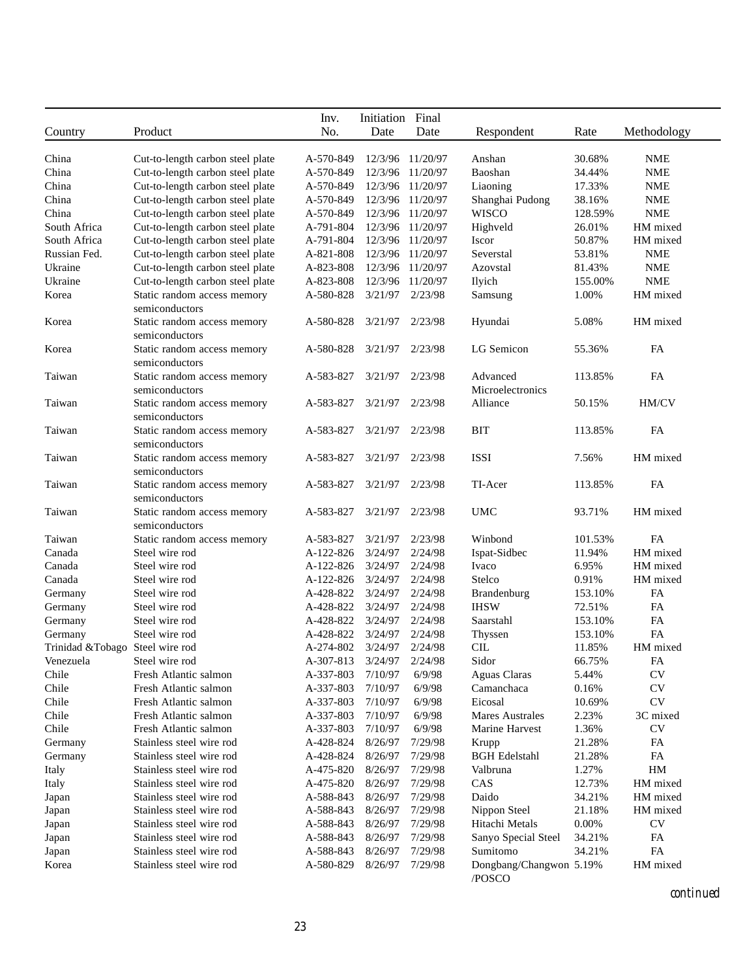| Initiation Final<br>Inv.        |                                               |           |         |                  |                                   |         |                            |
|---------------------------------|-----------------------------------------------|-----------|---------|------------------|-----------------------------------|---------|----------------------------|
| Country                         | Product                                       | No.       | Date    | Date             | Respondent                        | Rate    | Methodology                |
| China                           | Cut-to-length carbon steel plate              | A-570-849 |         | 12/3/96 11/20/97 | Anshan                            | 30.68%  | <b>NME</b>                 |
| China                           | Cut-to-length carbon steel plate              | A-570-849 |         | 12/3/96 11/20/97 | Baoshan                           | 34.44%  | <b>NME</b>                 |
| China                           | Cut-to-length carbon steel plate              | A-570-849 |         | 12/3/96 11/20/97 | Liaoning                          | 17.33%  | <b>NME</b>                 |
| China                           | Cut-to-length carbon steel plate              | A-570-849 |         | 12/3/96 11/20/97 | Shanghai Pudong                   | 38.16%  | <b>NME</b>                 |
| China                           | Cut-to-length carbon steel plate              | A-570-849 |         | 12/3/96 11/20/97 | <b>WISCO</b>                      | 128.59% | <b>NME</b>                 |
| South Africa                    | Cut-to-length carbon steel plate              | A-791-804 |         | 12/3/96 11/20/97 | Highveld                          | 26.01%  | HM mixed                   |
| South Africa                    | Cut-to-length carbon steel plate              | A-791-804 |         | 12/3/96 11/20/97 | Iscor                             | 50.87%  | HM mixed                   |
| Russian Fed.                    | Cut-to-length carbon steel plate              | A-821-808 |         | 12/3/96 11/20/97 | Severstal                         | 53.81%  | <b>NME</b>                 |
| Ukraine                         | Cut-to-length carbon steel plate              | A-823-808 |         | 12/3/96 11/20/97 | Azovstal                          | 81.43%  | <b>NME</b>                 |
| Ukraine                         | Cut-to-length carbon steel plate              | A-823-808 |         | 12/3/96 11/20/97 | Ilyich                            | 155.00% | <b>NME</b>                 |
| Korea                           | Static random access memory                   | A-580-828 | 3/21/97 | 2/23/98          | Samsung                           | 1.00%   | HM mixed                   |
|                                 | semiconductors                                |           |         |                  |                                   |         |                            |
| Korea                           | Static random access memory<br>semiconductors | A-580-828 | 3/21/97 | 2/23/98          | Hyundai                           | 5.08%   | HM mixed                   |
| Korea                           | Static random access memory<br>semiconductors | A-580-828 | 3/21/97 | 2/23/98          | LG Semicon                        | 55.36%  | FA                         |
| Taiwan                          | Static random access memory<br>semiconductors | A-583-827 | 3/21/97 | 2/23/98          | Advanced<br>Microelectronics      | 113.85% | FA                         |
| Taiwan                          | Static random access memory<br>semiconductors | A-583-827 | 3/21/97 | 2/23/98          | Alliance                          | 50.15%  | HM/CV                      |
| Taiwan                          | Static random access memory<br>semiconductors | A-583-827 | 3/21/97 | 2/23/98          | <b>BIT</b>                        | 113.85% | FA                         |
| Taiwan                          | Static random access memory<br>semiconductors | A-583-827 | 3/21/97 | 2/23/98          | <b>ISSI</b>                       | 7.56%   | HM mixed                   |
| Taiwan                          | Static random access memory<br>semiconductors | A-583-827 | 3/21/97 | 2/23/98          | TI-Acer                           | 113.85% | FA                         |
| Taiwan                          | Static random access memory<br>semiconductors | A-583-827 | 3/21/97 | 2/23/98          | <b>UMC</b>                        | 93.71%  | HM mixed                   |
| Taiwan                          | Static random access memory                   | A-583-827 | 3/21/97 | 2/23/98          | Winbond                           | 101.53% | FA                         |
| Canada                          | Steel wire rod                                | A-122-826 | 3/24/97 | 2/24/98          | Ispat-Sidbec                      | 11.94%  | HM mixed                   |
| Canada                          | Steel wire rod                                | A-122-826 | 3/24/97 | 2/24/98          | Ivaco                             | 6.95%   | HM mixed                   |
| Canada                          | Steel wire rod                                | A-122-826 | 3/24/97 | 2/24/98          | Stelco                            | 0.91%   | HM mixed                   |
| Germany                         | Steel wire rod                                | A-428-822 | 3/24/97 | 2/24/98          | Brandenburg                       | 153.10% | FA                         |
| Germany                         | Steel wire rod                                | A-428-822 | 3/24/97 | 2/24/98          | <b>IHSW</b>                       | 72.51%  | FA                         |
| Germany                         | Steel wire rod                                | A-428-822 | 3/24/97 | 2/24/98          | Saarstahl                         | 153.10% | FA                         |
| Germany                         | Steel wire rod                                | A-428-822 | 3/24/97 | 2/24/98          | Thyssen                           | 153.10% | <b>FA</b>                  |
| Trinidad &Tobago Steel wire rod |                                               | A-274-802 | 3/24/97 | 2/24/98          | CIL                               | 11.85%  | HM mixed                   |
| Venezuela                       | Steel wire rod                                | A-307-813 | 3/24/97 | 2/24/98          | Sidor                             | 66.75%  | FA                         |
| Chile                           | Fresh Atlantic salmon                         | A-337-803 | 7/10/97 | 6/9/98           | <b>Aguas Claras</b>               | 5.44%   | <b>CV</b>                  |
| Chile                           | Fresh Atlantic salmon                         | A-337-803 | 7/10/97 | 6/9/98           | Camanchaca                        | 0.16%   | <b>CV</b>                  |
| Chile                           | Fresh Atlantic salmon                         | A-337-803 | 7/10/97 | 6/9/98           | Eicosal                           | 10.69%  | CV                         |
| Chile                           | Fresh Atlantic salmon                         | A-337-803 | 7/10/97 | 6/9/98           | <b>Mares Australes</b>            | 2.23%   | 3C mixed                   |
| Chile                           | Fresh Atlantic salmon                         | A-337-803 | 7/10/97 | 6/9/98           | Marine Harvest                    | 1.36%   | <b>CV</b>                  |
| Germany                         | Stainless steel wire rod                      | A-428-824 | 8/26/97 | 7/29/98          | Krupp                             | 21.28%  | FA                         |
| Germany                         | Stainless steel wire rod                      | A-428-824 | 8/26/97 | 7/29/98          | <b>BGH</b> Edelstahl              | 21.28%  | $FA$                       |
| Italy                           | Stainless steel wire rod                      | A-475-820 | 8/26/97 | 7/29/98          | Valbruna                          | 1.27%   | $\mathop{\rm HM}\nolimits$ |
| Italy                           | Stainless steel wire rod                      | A-475-820 | 8/26/97 | 7/29/98          | CAS                               | 12.73%  | HM mixed                   |
| Japan                           | Stainless steel wire rod                      | A-588-843 | 8/26/97 | 7/29/98          | Daido                             | 34.21%  | HM mixed                   |
| Japan                           | Stainless steel wire rod                      | A-588-843 | 8/26/97 | 7/29/98          | Nippon Steel                      | 21.18%  | HM mixed                   |
| Japan                           | Stainless steel wire rod                      | A-588-843 | 8/26/97 | 7/29/98          | Hitachi Metals                    | 0.00%   | CV                         |
| Japan                           | Stainless steel wire rod                      | A-588-843 | 8/26/97 | 7/29/98          | Sanyo Special Steel               | 34.21%  | FA                         |
| Japan                           | Stainless steel wire rod                      | A-588-843 | 8/26/97 | 7/29/98          | Sumitomo                          | 34.21%  | FA                         |
| Korea                           | Stainless steel wire rod                      | A-580-829 | 8/26/97 | 7/29/98          | Dongbang/Changwon 5.19%<br>/POSCO |         | HM mixed                   |

*continued*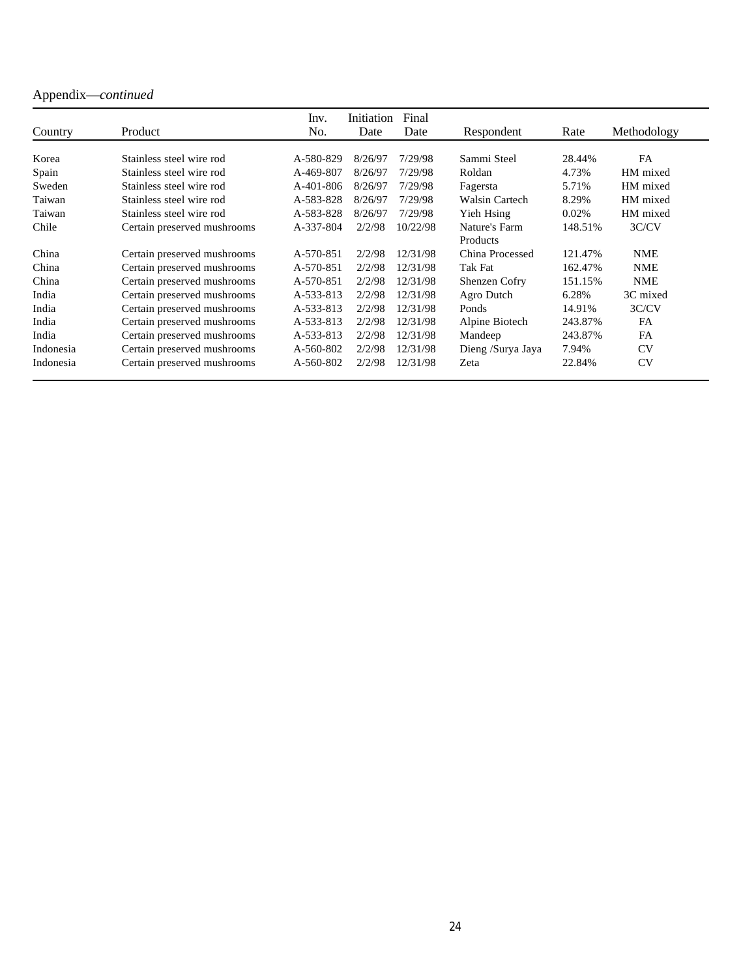#### Appendix—*continued*

| Country   | Product                     | Inv.<br>No. | Initiation<br>Date | Final<br>Date | Respondent                | Rate    | Methodology |
|-----------|-----------------------------|-------------|--------------------|---------------|---------------------------|---------|-------------|
| Korea     | Stainless steel wire rod    | A-580-829   | 8/26/97            | 7/29/98       | Sammi Steel               | 28.44%  | <b>FA</b>   |
| Spain     | Stainless steel wire rod    | A-469-807   | 8/26/97            | 7/29/98       | Roldan                    | 4.73%   | HM mixed    |
| Sweden    | Stainless steel wire rod    | A-401-806   | 8/26/97            | 7/29/98       | Fagersta                  | 5.71%   | HM mixed    |
| Taiwan    | Stainless steel wire rod    | A-583-828   | 8/26/97            | 7/29/98       | <b>Walsin Cartech</b>     | 8.29%   | HM mixed    |
| Taiwan    | Stainless steel wire rod    | A-583-828   | 8/26/97            | 7/29/98       | Yieh Hsing                | 0.02%   | HM mixed    |
| Chile     | Certain preserved mushrooms | A-337-804   | 2/2/98             | 10/22/98      | Nature's Farm<br>Products | 148.51% | 3C/CV       |
| China     | Certain preserved mushrooms | A-570-851   | 2/2/98             | 12/31/98      | China Processed           | 121.47% | <b>NME</b>  |
| China     | Certain preserved mushrooms | A-570-851   | 2/2/98             | 12/31/98      | Tak Fat                   | 162.47% | <b>NME</b>  |
| China     | Certain preserved mushrooms | A-570-851   | 2/2/98             | 12/31/98      | Shenzen Cofry             | 151.15% | <b>NME</b>  |
| India     | Certain preserved mushrooms | A-533-813   | 2/2/98             | 12/31/98      | Agro Dutch                | 6.28%   | 3C mixed    |
| India     | Certain preserved mushrooms | A-533-813   | 2/2/98             | 12/31/98      | Ponds                     | 14.91%  | 3C/CV       |
| India     | Certain preserved mushrooms | A-533-813   | 2/2/98             | 12/31/98      | Alpine Biotech            | 243.87% | <b>FA</b>   |
| India     | Certain preserved mushrooms | A-533-813   | 2/2/98             | 12/31/98      | Mandeep                   | 243.87% | FA          |
| Indonesia | Certain preserved mushrooms | A-560-802   | 2/2/98             | 12/31/98      | Dieng /Surya Jaya         | 7.94%   | <b>CV</b>   |
| Indonesia | Certain preserved mushrooms | A-560-802   | 2/2/98             | 12/31/98      | Zeta                      | 22.84%  | <b>CV</b>   |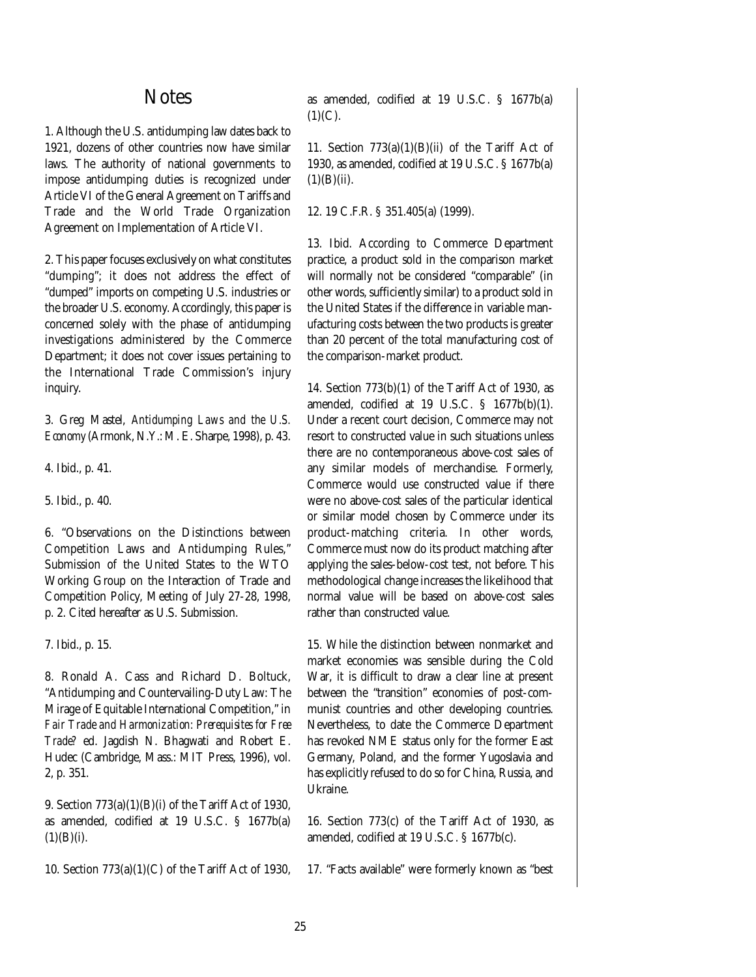## **Notes**

1. Although the U.S. antidumping law dates back to 1921, dozens of other countries now have similar laws. The authority of national governments to impose antidumping duties is recognized under Article VI of the General Agreement on Tariffs and Trade and the World Trade Organization Agreement on Implementation of Article VI.

2. This paper focuses exclusively on what constitutes "dumping"; it does not address the effect of "dumped" imports on competing U.S. industries or the broader U.S. economy. Accordingly, this paper is concerned solely with the phase of antidumping investigations administered by the Commerce Department; it does not cover issues pertaining to the International Trade Commission's injury inquiry.

3. Greg Mastel, *Antidumping Laws and the U.S. Economy* (Armonk, N.Y.: M. E. Sharpe, 1998), p. 43.

4. Ibid., p. 41.

5. Ibid., p. 40.

6. "Observations on the Distinctions between Competition Laws and Antidumping Rules," Submission of the United States to the WTO Working Group on the Interaction of Trade and Competition Policy, Meeting of July 27-28, 1998, p. 2. Cited hereafter as U.S. Submission.

7. Ibid., p. 15.

8. Ronald A. Cass and Richard D. Boltuck, "Antidumping and Countervailing-Duty Law: The Mirage of Equitable International Competition," in *Fair Trade and Harmonization: Prerequisites for Free Trade?* ed. Jagdish N. Bhagwati and Robert E. Hudec (Cambridge, Mass.: MIT Press, 1996), vol. 2, p. 351.

9. Section 773(a)(1)(B)(i) of the Tariff Act of 1930, as amended, codified at 19 U.S.C. § 1677b(a)  $(1)(B)(i)$ .

10. Section 773(a)(1)(C) of the Tariff Act of 1930,

as amended, codified at 19 U.S.C. § 1677b(a)  $(1)(C)$ .

11. Section  $773(a)(1)(B)(ii)$  of the Tariff Act of 1930, as amended, codified at 19 U.S.C. § 1677b(a)  $(1)(B)(ii)$ .

12. 19 C.F.R. § 351.405(a) (1999).

13. Ibid. According to Commerce Department practice, a product sold in the comparison market will normally not be considered "comparable" (in other words, sufficiently similar) to a product sold in the United States if the difference in variable manufacturing costs between the two products is greater than 20 percent of the total manufacturing cost of the comparison-market product.

14. Section 773(b)(1) of the Tariff Act of 1930, as amended, codified at 19 U.S.C. § 1677b(b)(1). Under a recent court decision, Commerce may not resort to constructed value in such situations unless there are no contemporaneous above-cost sales of any similar models of merchandise. Formerly, Commerce would use constructed value if there were no above-cost sales of the particular identical or similar model chosen by Commerce under its product-matching criteria. In other words, Commerce must now do its product matching after applying the sales-below-cost test, not before. This methodological change increases the likelihood that normal value will be based on above-cost sales rather than constructed value.

15. While the distinction between nonmarket and market economies was sensible during the Cold War, it is difficult to draw a clear line at present between the "transition" economies of post-communist countries and other developing countries. Nevertheless, to date the Commerce Department has revoked NME status only for the former East Germany, Poland, and the former Yugoslavia and has explicitly refused to do so for China, Russia, and Ukraine.

16. Section 773(c) of the Tariff Act of 1930, as amended, codified at 19 U.S.C. § 1677b(c).

17. "Facts available" were formerly known as "best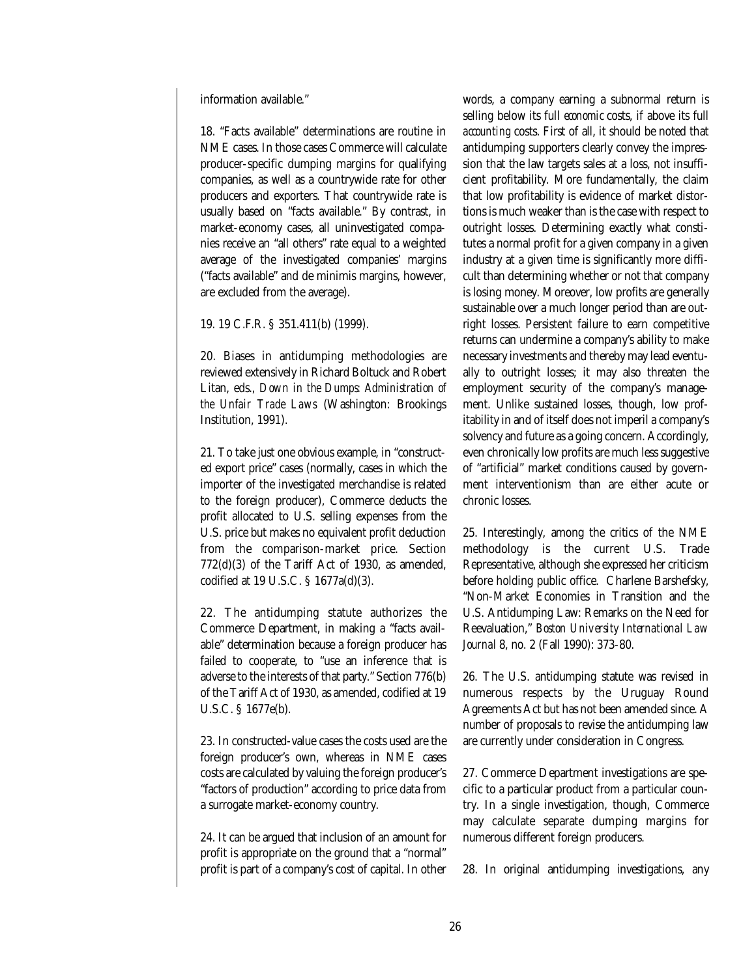information available."

18. "Facts available" determinations are routine in NME cases. In those cases Commerce will calculate producer-specific dumping margins for qualifying companies, as well as a countrywide rate for other producers and exporters. That countrywide rate is usually based on "facts available." By contrast, in market-economy cases, all uninvestigated companies receive an "all others" rate equal to a weighted average of the investigated companies' margins ("facts available" and de minimis margins, however, are excluded from the average).

#### 19. 19 C.F.R. § 351.411(b) (1999).

20. Biases in antidumping methodologies are reviewed extensively in Richard Boltuck and Robert Litan, eds., *Down in the Dumps: Administration of the Unfair Trade Laws* (Washington: Brookings Institution, 1991).

21. To take just one obvious example, in "constructed export price" cases (normally, cases in which the importer of the investigated merchandise is related to the foreign producer), Commerce deducts the profit allocated to U.S. selling expenses from the U.S. price but makes no equivalent profit deduction from the comparison-market price. Section  $772(d)(3)$  of the Tariff Act of 1930, as amended, codified at 19 U.S.C. § 1677a(d)(3).

22. The antidumping statute authorizes the Commerce Department, in making a "facts available" determination because a foreign producer has failed to cooperate, to "use an inference that is adverse to the interests of that party." Section 776(b) of the Tariff Act of 1930, as amended, codified at 19 U.S.C. § 1677e(b).

23. In constructed-value cases the costs used are the foreign producer's own, whereas in NME cases costs are calculated by valuing the foreign producer's "factors of production" according to price data from a surrogate market-economy country.

24. It can be argued that inclusion of an amount for profit is appropriate on the ground that a "normal" profit is part of a company's cost of capital. In other

words, a company earning a subnormal return is selling below its full *economic* costs, if above its full *accounting* costs. First of all, it should be noted that antidumping supporters clearly convey the impression that the law targets sales at a loss, not insufficient profitability. More fundamentally, the claim that low profitability is evidence of market distortions is much weaker than is the case with respect to outright losses. Determining exactly what constitutes a normal profit for a given company in a given industry at a given time is significantly more difficult than determining whether or not that company is losing money. Moreover, low profits are generally sustainable over a much longer period than are outright losses. Persistent failure to earn competitive returns can undermine a company's ability to make necessary investments and thereby may lead eventually to outright losses; it may also threaten the employment security of the company's management. Unlike sustained losses, though, low profitability in and of itself does not imperil a company's solvency and future as a going concern. Accordingly, even chronically low profits are much less suggestive of "artificial" market conditions caused by government interventionism than are either acute or chronic losses.

25. Interestingly, among the critics of the NME methodology is the current U.S. Trade Representative, although she expressed her criticism before holding public office. Charlene Barshefsky, "Non-Market Economies in Transition and the U.S. Antidumping Law: Remarks on the Need for Reevaluation," *Boston University International Law Journal* 8, no. 2 (Fall 1990): 373-80.

26. The U.S. antidumping statute was revised in numerous respects by the Uruguay Round Agreements Act but has not been amended since. A number of proposals to revise the antidumping law are currently under consideration in Congress.

27. Commerce Department investigations are specific to a particular product from a particular country. In a single investigation, though, Commerce may calculate separate dumping margins for numerous different foreign producers.

28. In original antidumping investigations, any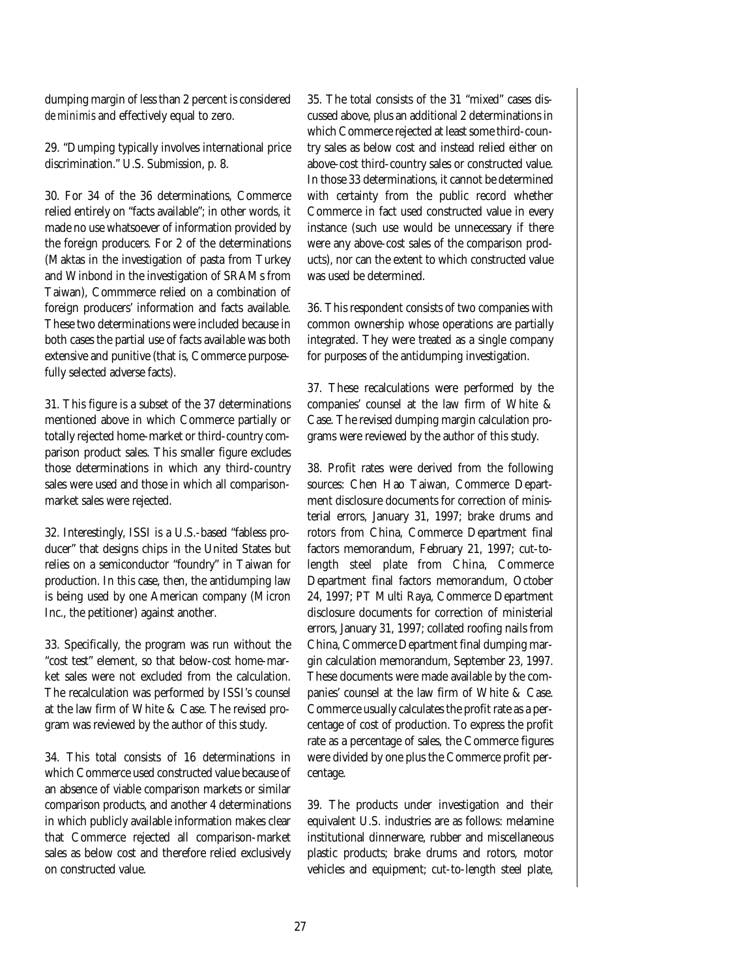dumping margin of less than 2 percent is considered *de minimis* and effectively equal to zero.

29. "Dumping typically involves international price discrimination." U.S. Submission, p. 8.

30. For 34 of the 36 determinations, Commerce relied entirely on "facts available"; in other words, it made no use whatsoever of information provided by the foreign producers. For 2 of the determinations (Maktas in the investigation of pasta from Turkey and Winbond in the investigation of SRAMs from Taiwan), Commmerce relied on a combination of foreign producers' information and facts available. These two determinations were included because in both cases the partial use of facts available was both extensive and punitive (that is, Commerce purposefully selected adverse facts).

31. This figure is a subset of the 37 determinations mentioned above in which Commerce partially or totally rejected home-market or third-country comparison product sales. This smaller figure excludes those determinations in which any third-country sales were used and those in which all comparisonmarket sales were rejected.

32. Interestingly, ISSI is a U.S.-based "fabless producer" that designs chips in the United States but relies on a semiconductor "foundry" in Taiwan for production. In this case, then, the antidumping law is being used by one American company (Micron Inc., the petitioner) against another.

33. Specifically, the program was run without the "cost test" element, so that below-cost home-market sales were not excluded from the calculation. The recalculation was performed by ISSI's counsel at the law firm of White & Case. The revised program was reviewed by the author of this study.

34. This total consists of 16 determinations in which Commerce used constructed value because of an absence of viable comparison markets or similar comparison products, and another 4 determinations in which publicly available information makes clear that Commerce rejected all comparison-market sales as below cost and therefore relied exclusively on constructed value.

35. The total consists of the 31 "mixed" cases discussed above, plus an additional 2 determinations in which Commerce rejected at least some third-country sales as below cost and instead relied either on above-cost third-country sales or constructed value. In those 33 determinations, it cannot be determined with certainty from the public record whether Commerce in fact used constructed value in every instance (such use would be unnecessary if there were any above-cost sales of the comparison products), nor can the extent to which constructed value was used be determined.

36. This respondent consists of two companies with common ownership whose operations are partially integrated. They were treated as a single company for purposes of the antidumping investigation.

37. These recalculations were performed by the companies' counsel at the law firm of White & Case. The revised dumping margin calculation programs were reviewed by the author of this study.

38. Profit rates were derived from the following sources: Chen Hao Taiwan, Commerce Department disclosure documents for correction of ministerial errors, January 31, 1997; brake drums and rotors from China, Commerce Department final factors memorandum, February 21, 1997; cut-tolength steel plate from China, Commerce Department final factors memorandum, October 24, 1997; PT Multi Raya, Commerce Department disclosure documents for correction of ministerial errors, January 31, 1997; collated roofing nails from China, Commerce Department final dumping margin calculation memorandum, September 23, 1997. These documents were made available by the companies' counsel at the law firm of White & Case. Commerce usually calculates the profit rate as a percentage of cost of production. To express the profit rate as a percentage of sales, the Commerce figures were divided by one plus the Commerce profit percentage.

39. The products under investigation and their equivalent U.S. industries are as follows: melamine institutional dinnerware, rubber and miscellaneous plastic products; brake drums and rotors, motor vehicles and equipment; cut-to-length steel plate,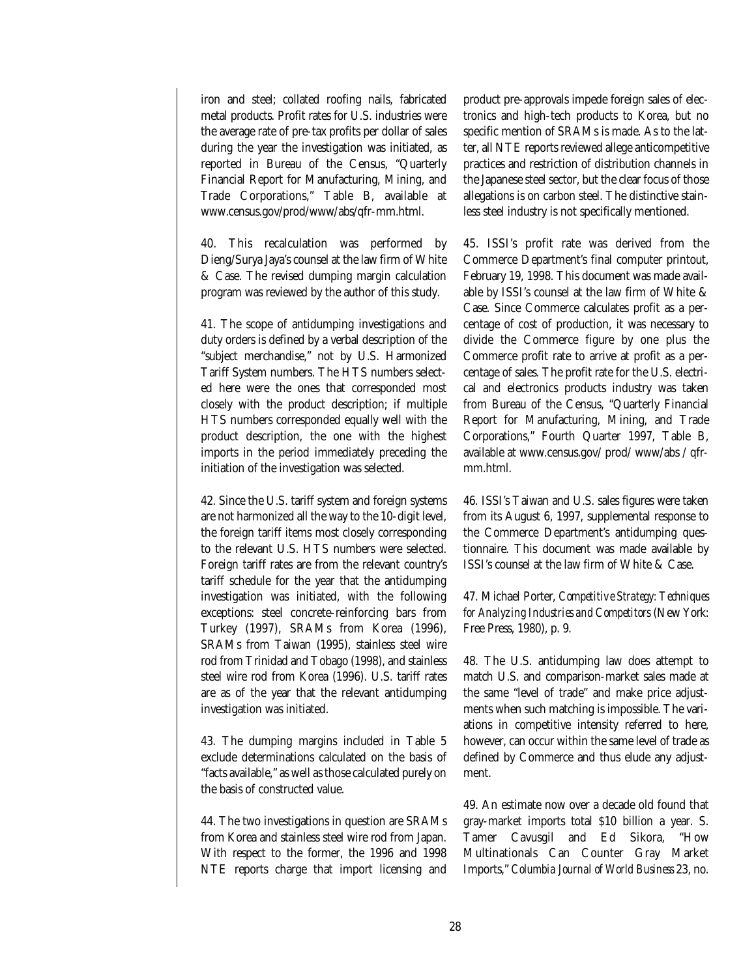iron and steel; collated roofing nails, fabricated metal products. Profit rates for U.S. industries were the average rate of pre-tax profits per dollar of sales during the year the investigation was initiated, as reported in Bureau of the Census, "Quarterly Financial Report for Manufacturing, Mining, and Trade Corporations," Table B, available at www.census.gov/prod/www/abs/qfr-mm.html.

40. This recalculation was performed by Dieng/Surya Jaya's counsel at the law firm of White & Case. The revised dumping margin calculation program was reviewed by the author of this study.

41. The scope of antidumping investigations and duty orders is defined by a verbal description of the "subject merchandise," not by U.S. Harmonized Tariff System numbers. The HTS numbers selected here were the ones that corresponded most closely with the product description; if multiple HTS numbers corresponded equally well with the product description, the one with the highest imports in the period immediately preceding the initiation of the investigation was selected.

42. Since the U.S. tariff system and foreign systems are not harmonized all the way to the 10-digit level, the foreign tariff items most closely corresponding to the relevant U.S. HTS numbers were selected. Foreign tariff rates are from the relevant country's tariff schedule for the year that the antidumping investigation was initiated, with the following exceptions: steel concrete-reinforcing bars from Turkey (1997), SRAMs from Korea (1996), SRAMs from Taiwan (1995), stainless steel wire rod from Trinidad and Tobago (1998), and stainless steel wire rod from Korea (1996). U.S. tariff rates are as of the year that the relevant antidumping investigation was initiated.

43. The dumping margins included in Table 5 exclude determinations calculated on the basis of "facts available," as well as those calculated purely on the basis of constructed value.

44. The two investigations in question are SRAMs from Korea and stainless steel wire rod from Japan. With respect to the former, the 1996 and 1998 NTE reports charge that import licensing and product pre-approvals impede foreign sales of electronics and high-tech products to Korea, but no specific mention of SRAMs is made. As to the latter, all NTE reports reviewed allege anticompetitive practices and restriction of distribution channels in the Japanese steel sector, but the clear focus of those allegations is on carbon steel. The distinctive stainless steel industry is not specifically mentioned.

45. ISSI's profit rate was derived from the Commerce Department's final computer printout, February 19, 1998. This document was made available by ISSI's counsel at the law firm of White & Case. Since Commerce calculates profit as a percentage of cost of production, it was necessary to divide the Commerce figure by one plus the Commerce profit rate to arrive at profit as a percentage of sales. The profit rate for the U.S. electrical and electronics products industry was taken from Bureau of the Census, "Quarterly Financial Report for Manufacturing, Mining, and Trade Corporations," Fourth Quarter 1997, Table B, available at www.census.gov/ prod/ www/abs / qfrmm.html.

46. ISSI's Taiwan and U.S. sales figures were taken from its August 6, 1997, supplemental response to the Commerce Department's antidumping questionnaire. This document was made available by ISSI's counsel at the law firm of White & Case.

47. Michael Porter, *Competitive Strategy: Techniques for Analyzing Industries and Competitors* (New York: Free Press, 1980), p. 9.

48. The U.S. antidumping law does attempt to match U.S. and comparison-market sales made at the same "level of trade" and make price adjustments when such matching is impossible. The variations in competitive intensity referred to here, however, can occur within the same level of trade as defined by Commerce and thus elude any adjustment.

49. An estimate now over a decade old found that gray-market imports total \$10 billion a year. S. Tamer Cavusgil and Ed Sikora, "How Multinationals Can Counter Gray Market Imports," *Columbia Journal of World Business* 23, no.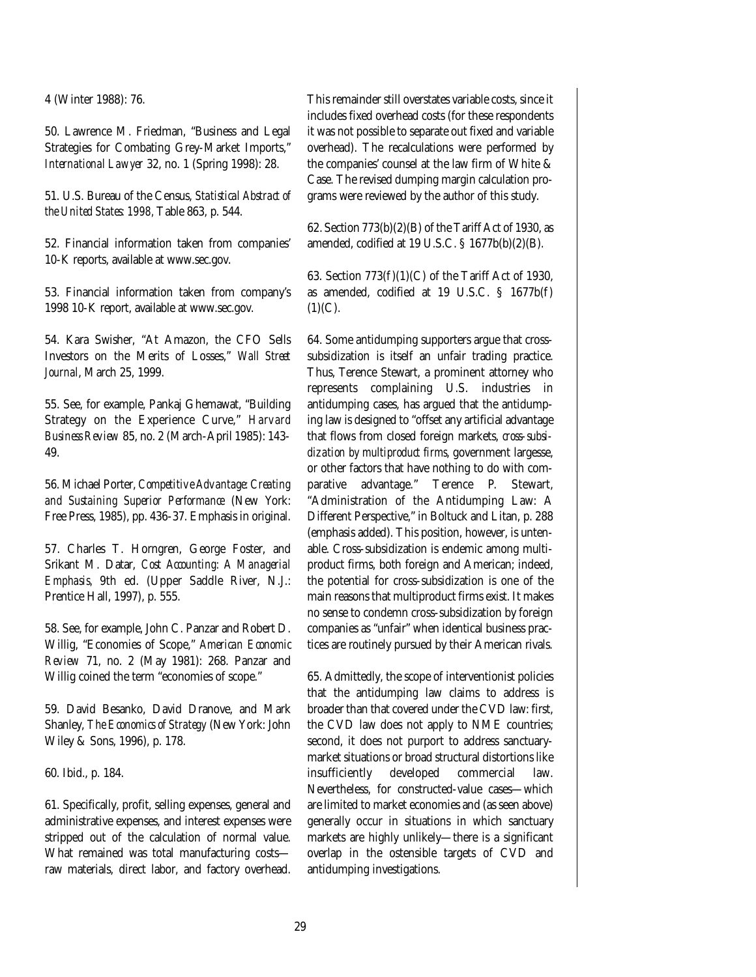4 (Winter 1988): 76.

50. Lawrence M. Friedman, "Business and Legal Strategies for Combating Grey-Market Imports," *International Lawyer* 32, no. 1 (Spring 1998): 28.

51. U.S. Bureau of the Census, *Statistical Abstract of the United States: 1998,* Table 863, p. 544.

52. Financial information taken from companies' 10-K reports, available at www.sec.gov.

53. Financial information taken from company's 1998 10-K report, available at www.sec.gov.

54. Kara Swisher, "At Amazon, the CFO Sells Investors on the Merits of Losses," *Wall Street Journal*, March 25, 1999.

55. See, for example, Pankaj Ghemawat, "Building Strategy on the Experience Curve," *Harvard Business Review* 85, no. 2 (March-April 1985): 143- 49.

56. Michael Porter, *Competitive Advantage: Creating and Sustaining Superior Performance* (New York: Free Press, 1985), pp. 436-37. Emphasis in original.

57. Charles T. Horngren, George Foster, and Srikant M. Datar, *Cost Accounting: A Managerial Emphasis,* 9th ed. (Upper Saddle River, N.J.: Prentice Hall, 1997), p. 555.

58. See, for example, John C. Panzar and Robert D. Willig, "Economies of Scope," *American Economic Review* 71, no. 2 (May 1981): 268. Panzar and Willig coined the term "economies of scope."

59. David Besanko, David Dranove, and Mark Shanley, *The Economics of Strategy* (New York: John Wiley & Sons, 1996), p. 178.

60. Ibid., p. 184.

61. Specifically, profit, selling expenses, general and administrative expenses, and interest expenses were stripped out of the calculation of normal value. What remained was total manufacturing costs raw materials, direct labor, and factory overhead.

This remainder still overstates variable costs, since it includes fixed overhead costs (for these respondents it was not possible to separate out fixed and variable overhead). The recalculations were performed by the companies' counsel at the law firm of White & Case. The revised dumping margin calculation programs were reviewed by the author of this study.

62. Section 773(b)(2)(B) of the Tariff Act of 1930, as amended, codified at 19 U.S.C. § 1677b(b)(2)(B).

63. Section 773(f)(1)(C) of the Tariff Act of 1930, as amended, codified at 19 U.S.C. § 1677b(f)  $(1)(C)$ .

64. Some antidumping supporters argue that crosssubsidization is itself an unfair trading practice. Thus, Terence Stewart, a prominent attorney who represents complaining U.S. industries in antidumping cases, has argued that the antidumping law is designed to "offset any artificial advantage that flows from closed foreign markets, *cross-subsidization by multiproduct firms*, government largesse, or other factors that have nothing to do with comparative advantage." Terence P. Stewart, "Administration of the Antidumping Law: A Different Perspective," in Boltuck and Litan, p. 288 (emphasis added). This position, however, is untenable. Cross-subsidization is endemic among multiproduct firms, both foreign and American; indeed, the potential for cross-subsidization is one of the main reasons that multiproduct firms exist. It makes no sense to condemn cross-subsidization by foreign companies as "unfair" when identical business practices are routinely pursued by their American rivals.

65. Admittedly, the scope of interventionist policies that the antidumping law claims to address is broader than that covered under the CVD law: first, the CVD law does not apply to NME countries; second, it does not purport to address sanctuarymarket situations or broad structural distortions like insufficiently developed commercial law. Nevertheless, for constructed-value cases—which are limited to market economies and (as seen above) generally occur in situations in which sanctuary markets are highly unlikely—there is a significant overlap in the ostensible targets of CVD and antidumping investigations.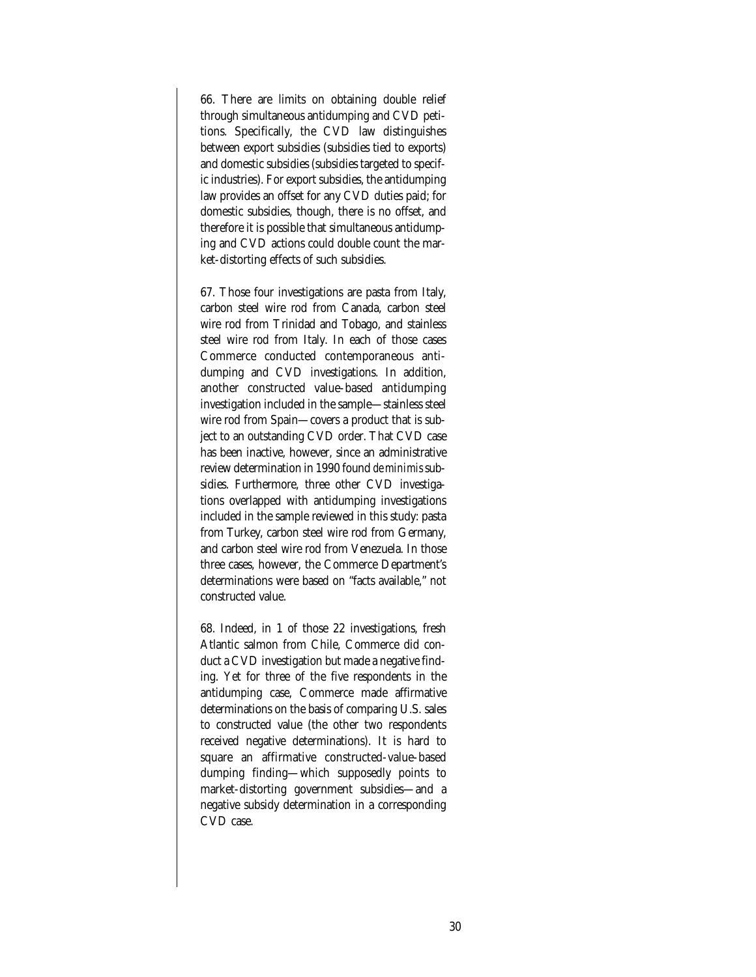66. There are limits on obtaining double relief through simultaneous antidumping and CVD petitions. Specifically, the CVD law distinguishes between export subsidies (subsidies tied to exports) and domestic subsidies (subsidies targeted to specific industries). For export subsidies, the antidumping law provides an offset for any CVD duties paid; for domestic subsidies, though, there is no offset, and therefore it is possible that simultaneous antidumping and CVD actions could double count the market-distorting effects of such subsidies.

67. Those four investigations are pasta from Italy, carbon steel wire rod from Canada, carbon steel wire rod from Trinidad and Tobago, and stainless steel wire rod from Italy. In each of those cases Commerce conducted contemporaneous antidumping and CVD investigations. In addition, another constructed value-based antidumping investigation included in the sample—stainless steel wire rod from Spain—covers a product that is subject to an outstanding CVD order. That CVD case has been inactive, however, since an administrative review determination in 1990 found *de minimis* subsidies. Furthermore, three other CVD investigations overlapped with antidumping investigations included in the sample reviewed in this study: pasta from Turkey, carbon steel wire rod from Germany, and carbon steel wire rod from Venezuela. In those three cases, however, the Commerce Department's determinations were based on "facts available," not constructed value.

68. Indeed, in 1 of those 22 investigations, fresh Atlantic salmon from Chile, Commerce did conduct a CVD investigation but made a negative finding. Yet for three of the five respondents in the antidumping case, Commerce made affirmative determinations on the basis of comparing U.S. sales to constructed value (the other two respondents received negative determinations). It is hard to square an affirmative constructed-value-based dumping finding—which supposedly points to market-distorting government subsidies—and a negative subsidy determination in a corresponding CVD case.